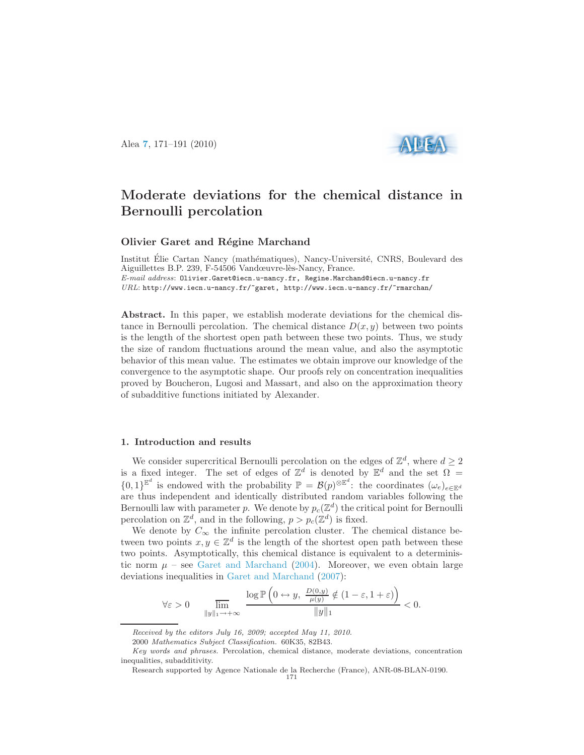Alea [7](http://alea.impa.br/english/index_v7.htm), 171–191 (2010)



# Moderate deviations for the chemical distance in Bernoulli percolation

## Olivier Garet and Régine Marchand

Institut Élie Cartan Nancy (mathématiques), Nancy-Université, CNRS, Boulevard des Aiguillettes B.P. 239, F-54506 Vandœuvre-lès-Nancy, France. E-mail address: Olivier.Garet@iecn.u-nancy.fr, Regine.Marchand@iecn.u-nancy.fr URL: http://www.iecn.u-nancy.fr/~garet, http://www.iecn.u-nancy.fr/~rmarchan/

Abstract. In this paper, we establish moderate deviations for the chemical distance in Bernoulli percolation. The chemical distance  $D(x, y)$  between two points is the length of the shortest open path between these two points. Thus, we study the size of random fluctuations around the mean value, and also the asymptotic behavior of this mean value. The estimates we obtain improve our knowledge of the convergence to the asymptotic shape. Our proofs rely on concentration inequalities proved by Boucheron, Lugosi and Massart, and also on the approximation theory of subadditive functions initiated by Alexander.

#### 1. Introduction and results

We consider supercritical Bernoulli percolation on the edges of  $\mathbb{Z}^d$ , where  $d \geq 2$ is a fixed integer. The set of edges of  $\mathbb{Z}^d$  is denoted by  $\mathbb{E}^d$  and the set  $\Omega =$  $\{0,1\}^{\mathbb{E}^d}$  is endowed with the probability  $\mathbb{P} = \mathcal{B}(p)^{\otimes \mathbb{E}^d}$ : the coordinates  $(\omega_e)_{e \in \mathbb{E}^d}$ are thus independent and identically distributed random variables following the Bernoulli law with parameter p. We denote by  $p_c(\mathbb{Z}^d)$  the critical point for Bernoulli percolation on  $\mathbb{Z}^d$ , and in the following,  $p > p_c(\mathbb{Z}^d)$  is fixed.

We denote by  $C_{\infty}$  the infinite percolation cluster. The chemical distance between two points  $x, y \in \mathbb{Z}^d$  is the length of the shortest open path between these two points. Asymptotically, this chemical distance is equivalent to a deterministic norm  $\mu$  – see [Garet and Marchand](#page-19-0) [\(2004\)](#page-19-0). Moreover, we even obtain large deviations inequalities in [Garet and Marchand](#page-19-1) [\(2007\)](#page-19-1):

$$
\forall \varepsilon > 0 \qquad \lim_{\|y\|_1 \to +\infty} \frac{\log \mathbb{P}\left(0 \leftrightarrow y, \ \frac{D(0, y)}{\mu(y)} \notin (1 - \varepsilon, 1 + \varepsilon)\right)}{\|y\|_1} < 0.
$$

Received by the editors July 16, 2009; accepted May 11, 2010.

<sup>2000</sup> Mathematics Subject Classification. 60K35, 82B43.

Key words and phrases. Percolation, chemical distance, moderate deviations, concentration inequalities, subadditivity.

Research supported by Agence Nationale de la Recherche (France), ANR-08-BLAN-0190. 171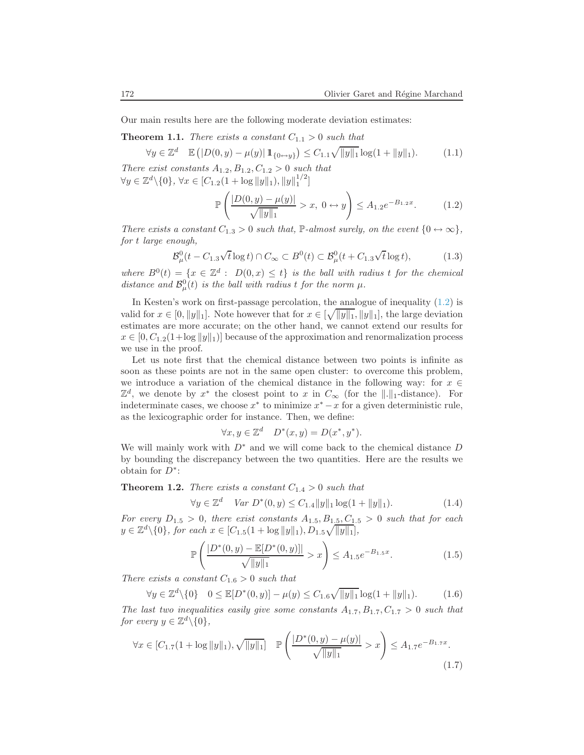<span id="page-1-4"></span>Our main results here are the following moderate deviation estimates:

<span id="page-1-6"></span>**Theorem 1.1.** There exists a constant  $C_{1,1} > 0$  such that

$$
\forall y \in \mathbb{Z}^d \quad \mathbb{E}\left( |D(0, y) - \mu(y)| \, \mathbb{1}_{\{0 \leftrightarrow y\}} \right) \le C_{1.1} \sqrt{\|y\|_1} \log(1 + \|y\|_1). \tag{1.1}
$$

There exist constants  $A_{1,2}, B_{1,2}, C_{1,2} > 0$  such that  $\forall y \in \mathbb{Z}^d \setminus \{0\}, \forall x \in [C_{1,2}(1 + \log ||y||_1), ||y||_1^{1/2}]$ 

$$
\mathbb{P}\left(\frac{|D(0,y) - \mu(y)|}{\sqrt{\|y\|_1}} > x, \ 0 \leftrightarrow y\right) \le A_{1,2}e^{-B_{1,2}x}.\tag{1.2}
$$

<span id="page-1-8"></span><span id="page-1-0"></span>There exists a constant  $C_{1,3} > 0$  such that, P-almost surely, on the event  $\{0 \leftrightarrow \infty\},$ for t large enough,

$$
\mathcal{B}^0_\mu(t - C_{1.3}\sqrt{t}\log t) \cap C_\infty \subset B^0(t) \subset \mathcal{B}^0_\mu(t + C_{1.3}\sqrt{t}\log t),\tag{1.3}
$$

where  $B^0(t) = \{x \in \mathbb{Z}^d : D(0,x) \leq t\}$  is the ball with radius t for the chemical distance and  $\mathcal{B}_{\mu}^{0}(t)$  is the ball with radius t for the norm  $\mu$ .

In Kesten's work on first-passage percolation, the analogue of inequality [\(1.2\)](#page-1-0) is valid for  $x \in [0, ||y||_1]$ . Note however that for  $x \in [\sqrt{||y||_1}, ||y||_1]$ , the large deviation estimates are more accurate; on the other hand, we cannot extend our results for  $x \in [0, C_{1,2}(1+\log ||y||_1)]$  because of the approximation and renormalization process we use in the proof.

Let us note first that the chemical distance between two points is infinite as soon as these points are not in the same open cluster: to overcome this problem, we introduce a variation of the chemical distance in the following way: for  $x \in \mathbb{R}$  $\mathbb{Z}^d$ , we denote by  $x^*$  the closest point to x in  $C_{\infty}$  (for the  $\|.\|_1$ -distance). For indeterminate cases, we choose  $x^*$  to minimize  $x^* - x$  for a given deterministic rule, as the lexicographic order for instance. Then, we define:

$$
\forall x, y \in \mathbb{Z}^d \quad D^*(x, y) = D(x^*, y^*).
$$

We will mainly work with  $D^*$  and we will come back to the chemical distance D by bounding the discrepancy between the two quantities. Here are the results we obtain for  $D^*$ :

<span id="page-1-5"></span><span id="page-1-1"></span>**Theorem 1.2.** There exists a constant  $C_{1,4} > 0$  such that

$$
\forall y \in \mathbb{Z}^d \quad Var \ D^*(0, y) \le C_{1.4} \|y\|_1 \log(1 + \|y\|_1). \tag{1.4}
$$

<span id="page-1-2"></span>For every  $D_{1.5} > 0$ , there exist constants  $A_{1.5}, B_{1.5}, C_{1.5} > 0$  such that for each  $y \in \mathbb{Z}^d \setminus \{0\}$ , for each  $x \in [C_{1.5}(1 + \log ||y||_1), D_{1.5}\sqrt{||y||_1}],$ 

$$
\mathbb{P}\left(\frac{|D^*(0,y) - \mathbb{E}[D^*(0,y)]|}{\sqrt{\|y\|_1}} > x\right) \le A_{1.5}e^{-B_{1.5}x}.\tag{1.5}
$$

<span id="page-1-3"></span>There exists a constant  $C_{1,6} > 0$  such that

$$
\forall y \in \mathbb{Z}^d \setminus \{0\} \quad 0 \le \mathbb{E}[D^*(0, y)] - \mu(y) \le C_{1.6} \sqrt{\|y\|_1} \log(1 + \|y\|_1). \tag{1.6}
$$

<span id="page-1-7"></span>The last two inequalities easily give some constants  $A_{1.7}, B_{1.7}, C_{1.7} > 0$  such that for every  $y \in \mathbb{Z}^d \setminus \{0\},\$ 

$$
\forall x \in [C_{1.7}(1 + \log ||y||_1), \sqrt{||y||_1}] \quad \mathbb{P}\left(\frac{|D^*(0, y) - \mu(y)|}{\sqrt{||y||_1}} > x\right) \le A_{1.7}e^{-B_{1.7}x}.\tag{1.7}
$$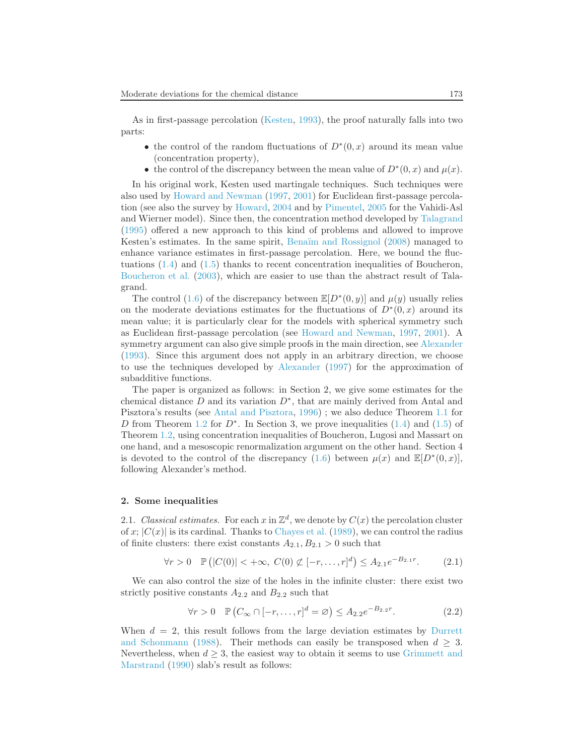As in first-passage percolation [\(Kesten](#page-19-2), [1993](#page-19-2)), the proof naturally falls into two parts:

- the control of the random fluctuations of  $D^*(0, x)$  around its mean value (concentration property),
- the control of the discrepancy between the mean value of  $D^*(0, x)$  and  $\mu(x)$ .

In his original work, Kesten used martingale techniques. Such techniques were also used by [Howard and Newman](#page-19-3) [\(1997,](#page-19-3) [2001\)](#page-19-4) for Euclidean first-passage percolation (see also the survey by [Howard,](#page-19-5) [2004](#page-19-5) and by [Pimentel,](#page-20-0) [2005](#page-20-0) for the Vahidi-Asl and Wierner model). Since then, the concentration method developed by [Talagrand](#page-20-1) [\(1995\)](#page-20-1) offered a new approach to this kind of problems and allowed to improve Kesten's estimates. In the same spirit, Benaïm and Rossignol [\(2008\)](#page-19-6) managed to enhance variance estimates in first-passage percolation. Here, we bound the fluctuations [\(1.4\)](#page-1-1) and [\(1.5\)](#page-1-2) thanks to recent concentration inequalities of Boucheron, [Boucheron et al.](#page-19-7) [\(2003](#page-19-7)), which are easier to use than the abstract result of Talagrand.

The control [\(1.6\)](#page-1-3) of the discrepancy between  $\mathbb{E}[D^*(0, y)]$  and  $\mu(y)$  usually relies on the moderate deviations estimates for the fluctuations of  $D^*(0, x)$  around its mean value; it is particularly clear for the models with spherical symmetry such as Euclidean first-passage percolation (see [Howard and Newman,](#page-19-3) [1997,](#page-19-3) [2001](#page-19-4)). A symmetry argument can also give simple proofs in the main direction, see [Alexander](#page-19-8) [\(1993\)](#page-19-8). Since this argument does not apply in an arbitrary direction, we choose to use the techniques developed by [Alexander](#page-19-9) [\(1997](#page-19-9)) for the approximation of subadditive functions.

The paper is organized as follows: in Section 2, we give some estimates for the chemical distance  $D$  and its variation  $D^*$ , that are mainly derived from Antal and Pisztora's results (see [Antal and Pisztora](#page-19-10), [1996\)](#page-19-10) ; we also deduce Theorem [1.1](#page-1-4) for D from Theorem [1.2](#page-1-5) for  $D^*$ . In Section 3, we prove inequalities [\(1.4\)](#page-1-1) and [\(1.5\)](#page-1-2) of Theorem [1.2,](#page-1-5) using concentration inequalities of Boucheron, Lugosi and Massart on one hand, and a mesoscopic renormalization argument on the other hand. Section 4 is devoted to the control of the discrepancy [\(1.6\)](#page-1-3) between  $\mu(x)$  and  $\mathbb{E}[D^*(0,x)]$ , following Alexander's method.

#### 2. Some inequalities

2.1. Classical estimates. For each x in  $\mathbb{Z}^d$ , we denote by  $C(x)$  the percolation cluster of x;  $|C(x)|$  is its cardinal. Thanks to [Chayes et al.](#page-19-11) [\(1989](#page-19-11)), we can control the radius of finite clusters: there exist constants  $A_{2,1}, B_{2,1} > 0$  such that

$$
\forall r > 0 \quad \mathbb{P}\left(|C(0)| < +\infty, \ C(0) \not\subset [-r, \dots, r]^d\right) \le A_{2.1} e^{-B_{2.1}r}.\tag{2.1}
$$

<span id="page-2-1"></span><span id="page-2-0"></span>We can also control the size of the holes in the infinite cluster: there exist two strictly positive constants  $A_{2,2}$  and  $B_{2,2}$  such that

$$
\forall r > 0 \quad \mathbb{P}\left(C_{\infty} \cap [-r, \dots, r]^d = \varnothing\right) \le A_{2.2} e^{-B_{2.2} r}.\tag{2.2}
$$

When $d = 2$ , t[his result follows from the large deviation estimates by](#page-19-12) Durrett and Schonmann [\(1988](#page-19-12)). Their methods can easily be transposed when  $d \geq 3$ . Nevertheless, when  $d \geq 3$ , the easiest way to obtain it seems to use Grimmett and Marstrand [\(1990\)](#page-19-13) slab's result as follows: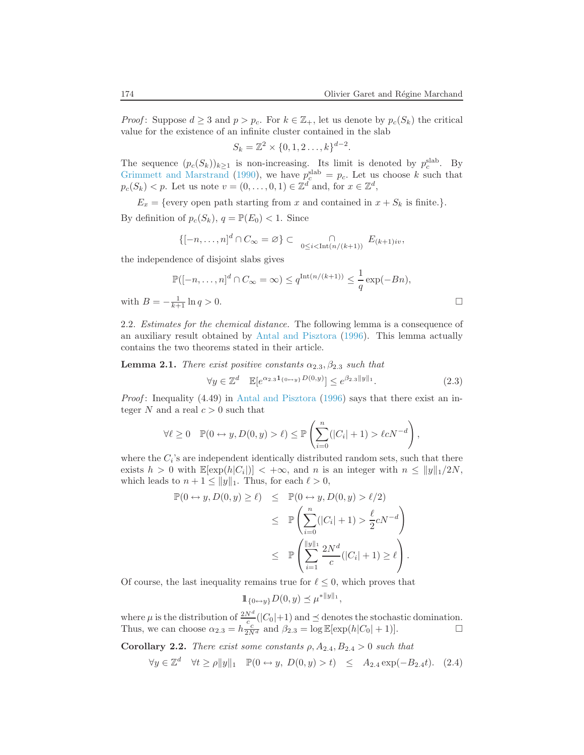*Proof:* Suppose  $d \geq 3$  and  $p > p_c$ . For  $k \in \mathbb{Z}_+$ , let us denote by  $p_c(S_k)$  the critical value for the existence of an infinite cluster contained in the slab

$$
S_k = \mathbb{Z}^2 \times \{0, 1, 2 \dots, k\}^{d-2}.
$$

The sequence  $(p_c(S_k))_{k\geq 1}$  is non-increasing. Its limit is denoted by  $p_c^{\text{slab}}$ . By [Grimmett and Marstrand](#page-19-13) [\(1990](#page-19-13)), we have  $p_c^{\text{slab}} = p_c$ . Let us choose k such that  $p_c(S_k) < p$ . Let us note  $v = (0, \ldots, 0, 1) \in \mathbb{Z}^d$  and, for  $x \in \mathbb{Z}^d$ ,

 $E_x = \{\text{every open path starting from } x \text{ and contained in } x + S_k \text{ is finite.}\}.$ 

By definition of  $p_c(S_k)$ ,  $q = \mathbb{P}(E_0) < 1$ . Since

$$
\{[-n,\ldots,n]^d\cap C_{\infty}=\varnothing\}\subset\bigcap_{0\leq i<\mathrm{Int}(n/(k+1))}E_{(k+1)iv},
$$

the independence of disjoint slabs gives

$$
\mathbb{P}([-n,\ldots,n]^d \cap C_{\infty} = \infty) \le q^{\text{Int}(n/(k+1))} \le \frac{1}{q} \exp(-Bn),
$$
  

$$
B = -\frac{1}{k+1} \ln q > 0.
$$

with  $$ 

2.2. Estimates for the chemical distance. The following lemma is a consequence of an auxiliary result obtained by [Antal and Pisztora](#page-19-10) [\(1996](#page-19-10)). This lemma actually contains the two theorems stated in their article.

<span id="page-3-0"></span>**Lemma 2.1.** There exist positive constants  $\alpha_{2,3}, \beta_{2,3}$  such that

$$
\forall y \in \mathbb{Z}^d \quad \mathbb{E}[e^{\alpha_{2.3}1_{\{0 \leftrightarrow y\}}D(0,y)}] \le e^{\beta_{2.3}||y||_1}.
$$
 (2.3)

*Proof*: Inequality  $(4.49)$  in [Antal and Pisztora](#page-19-10)  $(1996)$  $(1996)$  says that there exist an integer N and a real  $c > 0$  such that

$$
\forall \ell \geq 0 \quad \mathbb{P}(0 \leftrightarrow y, D(0, y) > \ell) \leq \mathbb{P}\left(\sum_{i=0}^{n} (|C_i| + 1) > \ell c N^{-d}\right),
$$

where the  $C_i$ 's are independent identically distributed random sets, such that there exists  $h > 0$  with  $\mathbb{E}[\exp(h|C_i|)] < +\infty$ , and n is an integer with  $n \le ||y||_1/2N$ , which leads to  $n + 1 \le ||y||_1$ . Thus, for each  $\ell > 0$ ,

$$
\mathbb{P}(0 \leftrightarrow y, D(0, y) \ge \ell) \le \mathbb{P}(0 \leftrightarrow y, D(0, y) > \ell/2)
$$
  
\n
$$
\le \mathbb{P}\left(\sum_{i=0}^{n}(|C_i| + 1) > \frac{\ell}{2}cN^{-d}\right)
$$
  
\n
$$
\le \mathbb{P}\left(\sum_{i=1}^{\|y\|_1} \frac{2N^d}{c}(|C_i| + 1) \ge \ell\right).
$$

Of course, the last inequality remains true for  $\ell \leq 0$ , which proves that

$$
1\!\!1_{\{0\leftrightarrow y\}} D(0, y) \preceq \mu^{*||y||_1},
$$

where  $\mu$  is the distribution of  $\frac{2N^d}{c}(|C_0|+1)$  and  $\preceq$  denotes the stochastic domination. Thus, we can choose  $\alpha_{2.3} = h \frac{c}{2N^d}$  and  $\beta_{2.3} = \log \mathbb{E}[\exp(h|C_0|+1)].$ 

<span id="page-3-1"></span>**Corollary 2.2.** There exist some constants  $\rho$ ,  $A_{2,4}$ ,  $B_{2,4} > 0$  such that

$$
\forall y \in \mathbb{Z}^d \quad \forall t \ge p \|y\|_1 \quad \mathbb{P}(0 \leftrightarrow y, \ D(0, y) > t) \quad \le \quad A_{2.4} \exp(-B_{2.4}t). \tag{2.4}
$$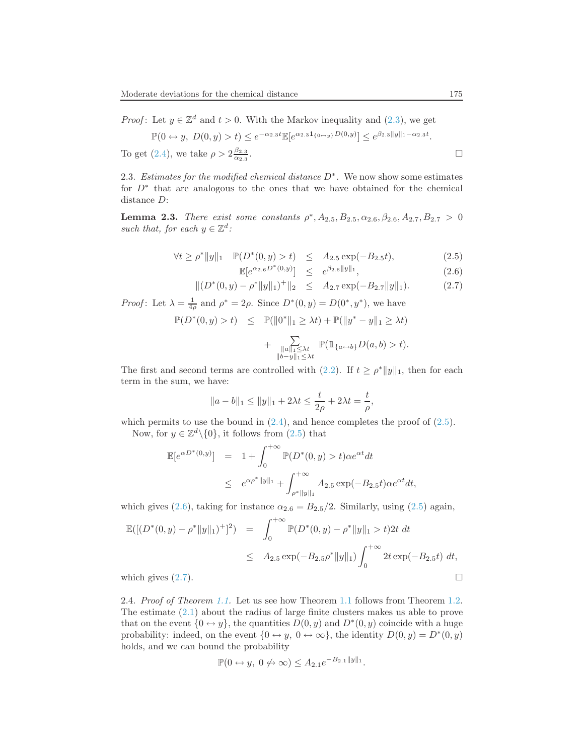*Proof*: Let  $y \in \mathbb{Z}^d$  and  $t > 0$ . With the Markov inequality and [\(2.3\)](#page-3-0), we get

$$
\mathbb{P}(0 \leftrightarrow y, \ D(0, y) > t) \le e^{-\alpha_{2.3}t} \mathbb{E}[e^{\alpha_{2.3}1_{\{0 \leftrightarrow y\}} D(0, y)}] \le e^{\beta_{2.3}||y||_1 - \alpha_{2.3}t}.
$$
  
To get (2.4), we take  $\rho > 2\frac{\beta_{2.3}}{\alpha_{2.3}}$ .

2.3. Estimates for the modified chemical distance  $D^*$ . We now show some estimates for D<sup>∗</sup> that are analogous to the ones that we have obtained for the chemical distance D:

<span id="page-4-0"></span>**Lemma 2.3.** There exist some constants  $\rho^*$ ,  $A_{2.5}$ ,  $B_{2.5}$ ,  $\alpha_{2.6}$ ,  $\beta_{2.6}$ ,  $A_{2.7}$ ,  $B_{2.7} > 0$ such that, for each  $y \in \mathbb{Z}^d$ :

$$
\forall t \ge p^* \|y\|_1 \quad \mathbb{P}(D^*(0, y) > t) \le A_{2.5} \exp(-B_{2.5}t), \tag{2.5}
$$

$$
\mathbb{E}[e^{\alpha_{2.6}D^*(0,y)}] \leq e^{\beta_{2.6}||y||_1}, \tag{2.6}
$$

$$
\|(D^*(0,y) - \rho^*\|y\|_1)^+\|_2 \le A_{2.7} \exp(-B_{2.7} \|y\|_1). \tag{2.7}
$$

*Proof*: Let  $\lambda = \frac{1}{4\rho}$  and  $\rho^* = 2\rho$ . Since  $D^*(0, y) = D(0^*, y^*)$ , we have

$$
\mathbb{P}(D^*(0, y) > t) \leq \mathbb{P}(\|0^*\|_1 \geq \lambda t) + \mathbb{P}(\|y^* - y\|_1 \geq \lambda t)
$$

$$
+ \sum_{\substack{u \in C \ \lambda \in \mathbb{P}(\mathbb{1}_{\{a \leftrightarrow b\}} D(a, b) > t)}} \mathbb{P}(\mathbb{1}_{\{a \leftrightarrow b\}} D(a, b) > t).
$$

$$
+ \sum_{\substack{\|a\|_1 \leq \lambda t \\ \|b-y\|_1 \leq \lambda t}} \mathbb{P}(\mathbb{1}_{\{a \leftrightarrow b\}} D(a, b) > t).
$$

The first and second terms are controlled with [\(2.2\)](#page-2-0). If  $t \ge \rho^* ||y||_1$ , then for each term in the sum, we have:

$$
||a - b||_1 \le ||y||_1 + 2\lambda t \le \frac{t}{2\rho} + 2\lambda t = \frac{t}{\rho},
$$

which permits to use the bound in  $(2.4)$ , and hence completes the proof of  $(2.5)$ .

Now, for  $y \in \mathbb{Z}^d \setminus \{0\}$ , it follows from  $(2.5)$  that

$$
\mathbb{E}[e^{\alpha D^*(0,y)}] = 1 + \int_0^{+\infty} \mathbb{P}(D^*(0,y) > t) \alpha e^{\alpha t} dt
$$
  
 
$$
\leq e^{\alpha \rho^* ||y||_1} + \int_{\rho^* ||y||_1}^{+\infty} A_{2.5} \exp(-B_{2.5}t) \alpha e^{\alpha t} dt,
$$

which gives [\(2.6\)](#page-4-0), taking for instance  $\alpha_{2.6} = B_{2.5}/2$ . Similarly, using [\(2.5\)](#page-4-0) again,

$$
\mathbb{E}([(D^*(0,y) - \rho^* \|y\|_1)^+]^2) = \int_0^{+\infty} \mathbb{P}(D^*(0,y) - \rho^* \|y\|_1 > t) 2t \, dt
$$
  
\n
$$
\leq A_{2.5} \exp(-B_{2.5}\rho^* \|y\|_1) \int_0^{+\infty} 2t \exp(-B_{2.5}t) \, dt,
$$
  
\nwhich gives (2.7).

2.4. Proof of Theorem [1.1.](#page-1-4) Let us see how Theorem [1.1](#page-1-4) follows from Theorem [1.2.](#page-1-5) The estimate [\(2.1\)](#page-2-1) about the radius of large finite clusters makes us able to prove that on the event  $\{0 \leftrightarrow y\}$ , the quantities  $D(0, y)$  and  $D^*(0, y)$  coincide with a huge probability: indeed, on the event  $\{0 \leftrightarrow y, 0 \leftrightarrow \infty\}$ , the identity  $D(0, y) = D^*(0, y)$ holds, and we can bound the probability

$$
\mathbb{P}(0 \leftrightarrow y, 0 \nleftrightarrow \infty) \leq A_{2.1} e^{-B_{2.1} ||y||_1}.
$$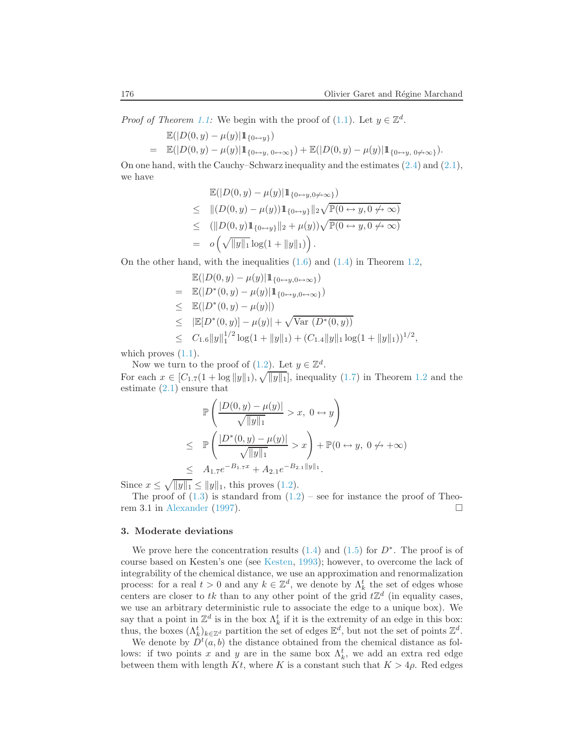*Proof of Theorem [1.1:](#page-1-4)* We begin with the proof of [\(1.1\)](#page-1-6). Let  $y \in \mathbb{Z}^d$ .

$$
\mathbb{E}(|D(0, y) - \mu(y)| 1\!\!1_{\{0 \leftrightarrow y\}})
$$
\n
$$
= \mathbb{E}(|D(0, y) - \mu(y)| 1\!\!1_{\{0 \leftrightarrow y, 0 \leftrightarrow \infty\}}) + \mathbb{E}(|D(0, y) - \mu(y)| 1\!\!1_{\{0 \leftrightarrow y, 0 \not\leftrightarrow \infty\}}).
$$

On one hand, with the Cauchy–Schwarz inequality and the estimates [\(2.4\)](#page-3-1) and [\(2.1\)](#page-2-1), we have

$$
\mathbb{E}(|D(0, y) - \mu(y)| \mathbb{1}_{\{0 \leftrightarrow y, 0 \neq \infty\}})
$$
\n
$$
\leq ||(D(0, y) - \mu(y)) \mathbb{1}_{\{0 \leftrightarrow y\}}||_2 \sqrt{\mathbb{P}(0 \leftrightarrow y, 0 \neq \infty)}
$$
\n
$$
\leq (||D(0, y) \mathbb{1}_{\{0 \leftrightarrow y\}}||_2 + \mu(y)) \sqrt{\mathbb{P}(0 \leftrightarrow y, 0 \neq \infty)}
$$
\n
$$
= o\left(\sqrt{||y||_1} \log(1 + ||y||_1)\right).
$$

On the other hand, with the inequalities [\(1.6\)](#page-1-3) and [\(1.4\)](#page-1-1) in Theorem [1.2,](#page-1-5)

$$
\mathbb{E}(|D(0, y) - \mu(y)| \mathbb{1}_{\{0 \leftrightarrow y, 0 \leftrightarrow \infty\}})
$$
\n
$$
= \mathbb{E}(|D^*(0, y) - \mu(y)| \mathbb{1}_{\{0 \leftrightarrow y, 0 \leftrightarrow \infty\}})
$$
\n
$$
\leq \mathbb{E}(|D^*(0, y) - \mu(y)|)
$$
\n
$$
\leq |\mathbb{E}[D^*(0, y)] - \mu(y)| + \sqrt{\text{Var}(D^*(0, y))}
$$
\n
$$
\leq C_{1.6} ||y||_1^{1/2} \log(1 + ||y||_1) + (C_{1.4} ||y||_1 \log(1 + ||y||_1))^{1/2},
$$

which proves  $(1.1)$ .

Now we turn to the proof of  $(1.2)$ . Let  $y \in \mathbb{Z}^d$ . For each  $x \in [C_{1.7}(1 + \log ||y||_1), \sqrt{||y||_1}]$ , inequality  $(1.7)$  in Theorem [1.2](#page-1-5) and the estimate [\(2.1\)](#page-2-1) ensure that

$$
\mathbb{P}\left(\frac{|D(0,y) - \mu(y)|}{\sqrt{||y||_1}} > x, 0 \leftrightarrow y\right)
$$
\n
$$
\leq \mathbb{P}\left(\frac{|D^*(0,y) - \mu(y)|}{\sqrt{||y||_1}} > x\right) + \mathbb{P}(0 \leftrightarrow y, 0 \nleftrightarrow +\infty)
$$
\n
$$
\leq A_{1.7}e^{-B_{1.7}x} + A_{2.1}e^{-B_{2.1}||y||_1}.
$$

Since  $x \le \sqrt{\|y\|_1} \le \|y\|_1$ , this proves [\(1.2\)](#page-1-0).

The proof of  $(1.3)$  is standard from  $(1.2)$  – see for instance the proof of Theorem 3.1 in [Alexander](#page-19-9) [\(1997\)](#page-19-9).

#### 3. Moderate deviations

We prove here the concentration results  $(1.4)$  and  $(1.5)$  for  $D^*$ . The proof is of course based on Kesten's one (see [Kesten](#page-19-2), [1993](#page-19-2)); however, to overcome the lack of integrability of the chemical distance, we use an approximation and renormalization process: for a real  $t > 0$  and any  $k \in \mathbb{Z}^d$ , we denote by  $\Lambda_k^t$  the set of edges whose centers are closer to tk than to any other point of the grid  $t\mathbb{Z}^d$  (in equality cases, we use an arbitrary deterministic rule to associate the edge to a unique box). We say that a point in  $\mathbb{Z}^d$  is in the box  $\Lambda_k^t$  if it is the extremity of an edge in this box: thus, the boxes  $(\Lambda_k^t)_{k\in\mathbb{Z}^d}$  partition the set of edges  $\mathbb{E}^d$ , but not the set of points  $\mathbb{Z}^d$ .

We denote by  $D^t(a, b)$  the distance obtained from the chemical distance as follows: if two points x and y are in the same box  $\Lambda_k^t$ , we add an extra red edge between them with length Kt, where K is a constant such that  $K > 4\rho$ . Red edges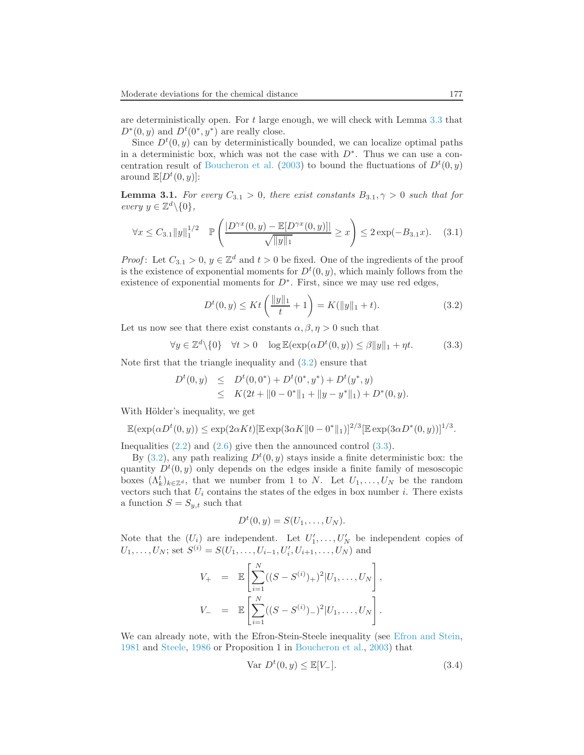are deterministically open. For  $t$  large enough, we will check with Lemma [3.3](#page-9-0) that  $D^*(0, y)$  and  $D^t(0^*, y^*)$  are really close.

Since  $D^t(0, y)$  can by deterministically bounded, we can localize optimal paths in a deterministic box, which was not the case with  $D^*$ . Thus we can use a con-centration result of [Boucheron et al.](#page-19-7) [\(2003](#page-19-7)) to bound the fluctuations of  $D^t(0, y)$ around  $\mathbb{E}[D^t(0,y)]$ :

<span id="page-6-2"></span>**Lemma 3.1.** For every  $C_{3,1} > 0$ , there exist constants  $B_{3,1}, \gamma > 0$  such that for every  $y \in \mathbb{Z}^d \backslash \{0\},\$ 

$$
\forall x \le C_{3.1} \|y\|_1^{1/2} \quad \mathbb{P}\left(\frac{|D^{\gamma x}(0,y) - \mathbb{E}[D^{\gamma x}(0,y)]|}{\sqrt{\|y\|_1}} \ge x\right) \le 2\exp(-B_{3.1}x). \tag{3.1}
$$

<span id="page-6-0"></span>*Proof*: Let  $C_{3,1} > 0$ ,  $y \in \mathbb{Z}^d$  and  $t > 0$  be fixed. One of the ingredients of the proof is the existence of exponential moments for  $D<sup>t</sup>(0, y)$ , which mainly follows from the existence of exponential moments for  $D^*$ . First, since we may use red edges,

$$
D^{t}(0, y) \le Kt\left(\frac{\|y\|_{1}}{t} + 1\right) = K(\|y\|_{1} + t).
$$
\n(3.2)

<span id="page-6-1"></span>Let us now see that there exist constants  $\alpha, \beta, \eta > 0$  such that

$$
\forall y \in \mathbb{Z}^d \setminus \{0\} \quad \forall t > 0 \quad \log \mathbb{E}(\exp(\alpha D^t(0, y)) \le \beta \|y\|_1 + \eta t. \tag{3.3}
$$

Note first that the triangle inequality and [\(3.2\)](#page-6-0) ensure that

$$
D^{t}(0, y) \leq D^{t}(0, 0^{*}) + D^{t}(0^{*}, y^{*}) + D^{t}(y^{*}, y)
$$
  
\n
$$
\leq K(2t + ||0 - 0^{*}||_{1} + ||y - y^{*}||_{1}) + D^{*}(0, y).
$$

With Hölder's inequality, we get

$$
\mathbb{E}(\exp(\alpha D^t(0, y)) \le \exp(2\alpha Kt) [\mathbb{E} \exp(3\alpha K ||0 - 0^*||_1)]^{2/3} [\mathbb{E} \exp(3\alpha D^*(0, y))]^{1/3}.
$$

Inequalities  $(2.2)$  and  $(2.6)$  give then the announced control  $(3.3)$ .

By  $(3.2)$ , any path realizing  $D<sup>t</sup>(0, y)$  stays inside a finite deterministic box: the quantity  $D<sup>t</sup>(0, y)$  only depends on the edges inside a finite family of mesoscopic boxes  $(\Lambda_k^t)_{k \in \mathbb{Z}^d}$ , that we number from 1 to N. Let  $U_1, \ldots, U_N$  be the random vectors such that  $U_i$  contains the states of the edges in box number i. There exists a function  $S = S_{y,t}$  such that

$$
D^t(0,y)=S(U_1,\ldots,U_N).
$$

Note that the  $(U_i)$  are independent. Let  $U'_1, \ldots, U'_N$  be independent copies of  $U_1, \ldots, U_N$ ; set  $S^{(i)} = S(U_1, \ldots, U_{i-1}, U'_i, U_{i+1}, \ldots, U_N)$  and

$$
V_{+} = \mathbb{E}\left[\sum_{i=1}^{N}((S - S^{(i)})_{+})^{2}|U_{1},...,U_{N}\right],
$$
  

$$
V_{-} = \mathbb{E}\left[\sum_{i=1}^{N}((S - S^{(i)})_{-})^{2}|U_{1},...,U_{N}\right].
$$

<span id="page-6-3"></span>We can already note, with the Efron-Stein-Steele inequality (see [Efron and Stein,](#page-19-14) [1981](#page-19-14) and [Steele,](#page-20-2) [1986](#page-20-2) or Proposition 1 in [Boucheron et al.](#page-19-7), [2003\)](#page-19-7) that

$$
\text{Var } D^t(0, y) \le \mathbb{E}[V_-].\tag{3.4}
$$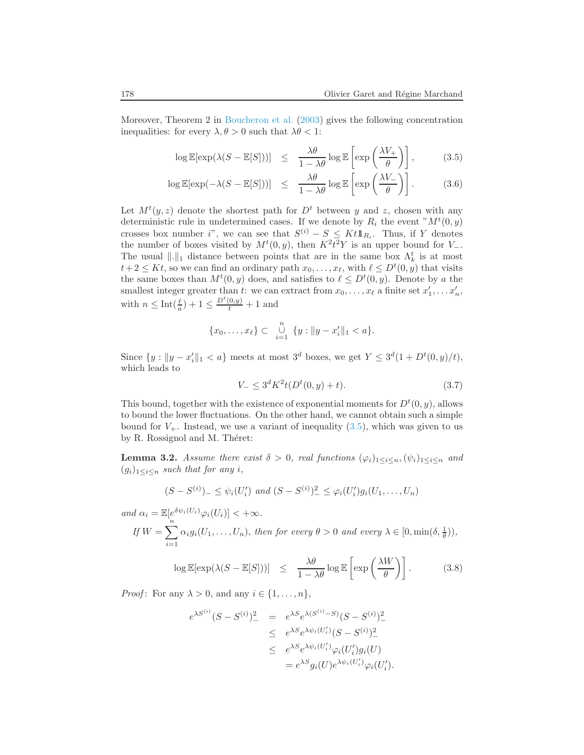<span id="page-7-0"></span>Moreover, Theorem 2 in [Boucheron et al.](#page-19-7) [\(2003](#page-19-7)) gives the following concentration inequalities: for every  $\lambda, \theta > 0$  such that  $\lambda \theta < 1$ :

$$
\log \mathbb{E}[\exp(\lambda(S - \mathbb{E}[S]))] \leq \frac{\lambda \theta}{1 - \lambda \theta} \log \mathbb{E}\left[\exp\left(\frac{\lambda V_+}{\theta}\right)\right],\tag{3.5}
$$

$$
\log \mathbb{E}[\exp(-\lambda(S - \mathbb{E}[S]))] \leq \frac{\lambda \theta}{1 - \lambda \theta} \log \mathbb{E}\left[\exp\left(\frac{\lambda V_{-}}{\theta}\right)\right].
$$
 (3.6)

Let  $M^{t}(y, z)$  denote the shortest path for  $D^{t}$  between y and z, chosen with any deterministic rule in undetermined cases. If we denote by  $R_i$  the event  $M^t(0, y)$ crosses box number i", we can see that  $S^{(i)} - S \leq K t \mathbb{1}_{R_i}$ . Thus, if Y denotes the number of boxes visited by  $M<sup>t</sup>(0, y)$ , then  $K<sup>2</sup>t<sup>2</sup>Y$  is an upper bound for  $V_-\$ . The usual  $\|.\|_1$  distance between points that are in the same box  $\Lambda_k^t$  is at most  $t+2 \leq Kt$ , so we can find an ordinary path  $x_0, \ldots, x_{\ell}$ , with  $\ell \leq D^t(0, y)$  that visits the same boxes than  $M^t(0, y)$  does, and satisfies to  $\ell \leq D^t(0, y)$ . Denote by a the smallest integer greater than t: we can extract from  $x_0, \ldots, x_\ell$  a finite set  $x'_1, \ldots, x'_n$ , with  $n \leq Int(\frac{\ell}{a}) + 1 \leq \frac{D^t(0, y)}{t} + 1$  and

$$
\{x_0,\ldots,x_\ell\} \subset \bigcup_{i=1}^n \{y : ||y - x_i'||_1 < a\}.
$$

<span id="page-7-1"></span>Since  $\{y : ||y - x'_i||_1 < a\}$  meets at most  $3^d$  boxes, we get  $Y \leq 3^d(1 + D^t(0, y)/t)$ , which leads to

$$
V_{-} \le 3^{d} K^{2} t (D^{t}(0, y) + t). \tag{3.7}
$$

This bound, together with the existence of exponential moments for  $D^{t}(0, y)$ , allows to bound the lower fluctuations. On the other hand, we cannot obtain such a simple bound for  $V_+$ . Instead, we use a variant of inequality [\(3.5\)](#page-7-0), which was given to us by R. Rossignol and M. Théret:

**Lemma 3.2.** Assume there exist  $\delta > 0$ , real functions  $(\varphi_i)_{1 \leq i \leq n}, (\psi_i)_{1 \leq i \leq n}$  and  $(g_i)_{1\leq i\leq n}$  such that for any i,

$$
(S - S^{(i)})_{-} \leq \psi_i(U'_i) \text{ and } (S - S^{(i)})_{-}^{2} \leq \varphi_i(U'_i)g_i(U_1, \dots, U_n)
$$

and 
$$
\alpha_i = \mathbb{E}[e^{\delta \psi_i(U_i)}\varphi_i(U_i)] < +\infty
$$
.  
\nIf  $W = \sum_{i=1}^n \alpha_i g_i(U_1, \dots, U_n)$ , then for every  $\theta > 0$  and every  $\lambda \in [0, \min(\delta, \frac{1}{\theta}))$ ,

$$
\log \mathbb{E}[\exp(\lambda(S - \mathbb{E}[S]))] \leq \frac{\lambda \theta}{1 - \lambda \theta} \log \mathbb{E}\left[\exp\left(\frac{\lambda W}{\theta}\right)\right].
$$
 (3.8)

<span id="page-7-2"></span>*Proof*: For any  $\lambda > 0$ , and any  $i \in \{1, \ldots, n\}$ ,

$$
e^{\lambda S^{(i)}}(S - S^{(i)})^2 = e^{\lambda S} e^{\lambda (S^{(i)} - S)} (S - S^{(i)})^2
$$
  
\n
$$
\leq e^{\lambda S} e^{\lambda \psi_i (U'_i)} (S - S^{(i)})^2
$$
  
\n
$$
\leq e^{\lambda S} e^{\lambda \psi_i (U'_i)} \varphi_i (U'_i) g_i (U)
$$
  
\n
$$
= e^{\lambda S} g_i (U) e^{\lambda \psi_i (U'_i)} \varphi_i (U'_i).
$$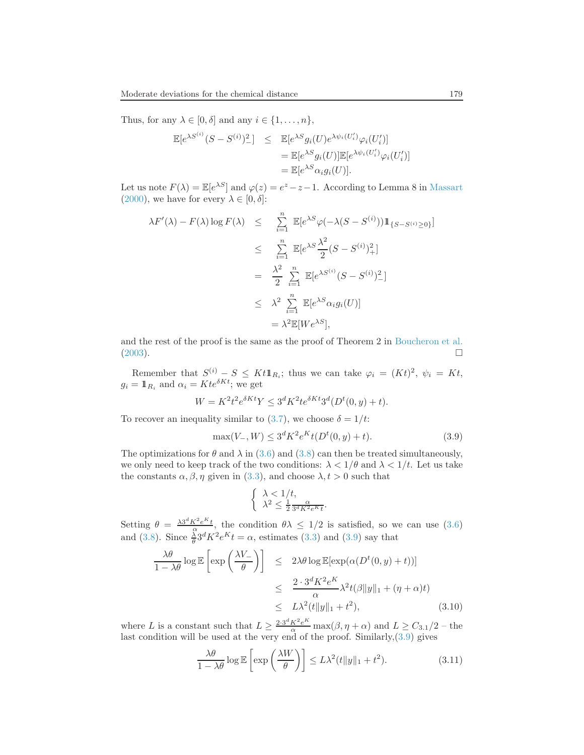Thus, for any  $\lambda \in [0, \delta]$  and any  $i \in \{1, \ldots, n\}$ ,

$$
\mathbb{E}[e^{\lambda S^{(i)}}(S-S^{(i)})^2] \leq \mathbb{E}[e^{\lambda S}g_i(U)e^{\lambda \psi_i(U'_i)}\varphi_i(U'_i)]
$$
  

$$
= \mathbb{E}[e^{\lambda S}g_i(U)]\mathbb{E}[e^{\lambda \psi_i(U'_i)}\varphi_i(U'_i)]
$$
  

$$
= \mathbb{E}[e^{\lambda S}a_ig_i(U)].
$$

Let us note  $F(\lambda) = \mathbb{E}[e^{\lambda S}]$  and  $\varphi(z) = e^z - z - 1$ . According to Lemma 8 in [Massart](#page-20-3) [\(2000\)](#page-20-3), we have for every  $\lambda \in [0, \delta]$ :

$$
\lambda F'(\lambda) - F(\lambda) \log F(\lambda) \leq \sum_{i=1}^{n} \mathbb{E}[e^{\lambda S} \varphi(-\lambda(S - S^{(i)})) \mathbb{1}_{\{S - S^{(i)} \geq 0\}}]
$$
  
\n
$$
\leq \sum_{i=1}^{n} \mathbb{E}[e^{\lambda S} \frac{\lambda^2}{2} (S - S^{(i)})^2_{+}]
$$
  
\n
$$
= \frac{\lambda^2}{2} \sum_{i=1}^{n} \mathbb{E}[e^{\lambda S^{(i)}} (S - S^{(i)})^2_{-}]
$$
  
\n
$$
\leq \lambda^2 \sum_{i=1}^{n} \mathbb{E}[e^{\lambda S} \alpha_i g_i(U)]
$$
  
\n
$$
= \lambda^2 \mathbb{E}[We^{\lambda S}],
$$

and the rest of the proof is the same as the proof of Theorem 2 in [Boucheron et al.](#page-19-7)  $(2003)$ .

Remember that  $S^{(i)} - S \leq K t \mathbb{1}_{R_i}$ ; thus we can take  $\varphi_i = (Kt)^2$ ,  $\psi_i = Kt$ ,  $g_i = \mathbb{1}_{R_i}$  and  $\alpha_i = Kte^{\delta K t}$ ; we get

$$
W = K^2 t^2 e^{\delta K t} Y \le 3^d K^2 t e^{\delta K t} 3^d (D^t(0, y) + t).
$$

<span id="page-8-0"></span>To recover an inequality similar to [\(3.7\)](#page-7-1), we choose  $\delta = 1/t$ :

$$
\max(V_-, W) \le 3^d K^2 e^K t (D^t(0, y) + t). \tag{3.9}
$$

The optimizations for  $\theta$  and  $\lambda$  in [\(3.6\)](#page-7-0) and [\(3.8\)](#page-7-2) can then be treated simultaneously, we only need to keep track of the two conditions:  $\lambda < 1/\theta$  and  $\lambda < 1/t$ . Let us take the constants  $\alpha, \beta, \eta$  given in [\(3.3\)](#page-6-1), and choose  $\lambda, t > 0$  such that

$$
\begin{cases} \lambda < 1/t, \\ \lambda^2 < \frac{1}{2} \frac{\alpha}{3^d K^2 e^{K} t}. \end{cases}
$$

Setting  $\theta = \frac{\lambda 3^d K^2 e^{K} t}{\alpha}$ , the condition  $\theta \lambda \leq 1/2$  is satisfied, so we can use [\(3.6\)](#page-7-0) and [\(3.8\)](#page-7-2). Since  $\frac{\lambda}{\theta} 3^d K^2 e^K t = \alpha$ , estimates [\(3.3\)](#page-6-1) and [\(3.9\)](#page-8-0) say that

$$
\frac{\lambda \theta}{1 - \lambda \theta} \log \mathbb{E} \left[ \exp \left( \frac{\lambda V_{-}}{\theta} \right) \right] \le 2\lambda \theta \log \mathbb{E} [\exp(\alpha (D^t(0, y) + t))]
$$
  

$$
\le \frac{2 \cdot 3^d K^2 e^K}{\alpha} \lambda^2 t(\beta \|y\|_1 + (\eta + \alpha)t)
$$
  

$$
\le L\lambda^2 (t \|y\|_1 + t^2), \qquad (3.10)
$$

where L is a constant such that  $L \geq \frac{2 \cdot 3^d K^2 e^{K}}{\alpha} \max(\beta, \eta + \alpha)$  and  $L \geq C_{3.1}/2$  – the last condition will be used at the very end of the proof. Similarly,[\(3.9\)](#page-8-0) gives

$$
\frac{\lambda \theta}{1 - \lambda \theta} \log \mathbb{E} \left[ \exp \left( \frac{\lambda W}{\theta} \right) \right] \le L \lambda^2 (t \|y\|_1 + t^2). \tag{3.11}
$$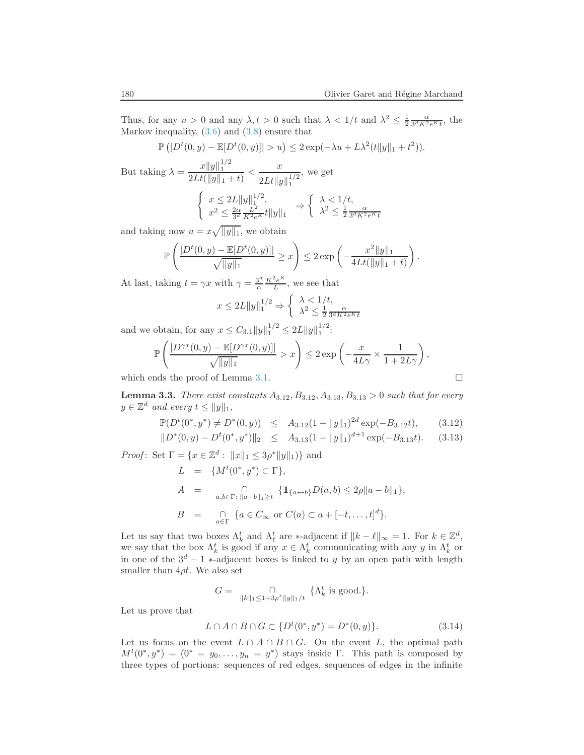Thus, for any  $u > 0$  and any  $\lambda, t > 0$  such that  $\lambda < 1/t$  and  $\lambda^2 \leq \frac{1}{2} \frac{\alpha}{3^d K^2 e^{K} t}$ , the Markov inequality, [\(3.6\)](#page-7-0) and [\(3.8\)](#page-7-2) ensure that

$$
\mathbb{P}(|D^t(0, y) - \mathbb{E}[D^t(0, y)]| > u) \leq 2 \exp(-\lambda u + L\lambda^2(t||y||_1 + t^2)).
$$

But taking  $\lambda = \frac{x||y||_1^{1/2}}{2L_x(x||y||_1)}$  $\frac{x||y||_1^{1/2}}{2Lt(||y||_1 + t)} < \frac{x}{2Lt||y}$  $2Lt \|y\|_1^{1/2}$ , we get  $\int x \leq 2L ||y||_1^{1/2},$  $x^2 \leq \frac{2\alpha}{3^d} \frac{L^2}{K^2 e^K} t \|y\|_1$   $\Rightarrow$  $\int \lambda < 1/t$ ,  $\lambda^2 \leq \frac{1}{2} \frac{\alpha}{3^d K^2 e^K t}$ 

and taking now  $u = x\sqrt{\|y\|_1}$ , we obtain

$$
\mathbb{P}\left(\frac{|D^t(0,y) - \mathbb{E}[D^t(0,y)]|}{\sqrt{\|y\|_1}} \geq x\right) \leq 2\exp\left(-\frac{x^2\|y\|_1}{4Lt(\|y\|_1+t)}\right).
$$

At last, taking  $t = \gamma x$  with  $\gamma = \frac{3^d}{\alpha}$  $\frac{3^d}{\alpha} \frac{K^2 e^K}{L}$  $\frac{e^{2}e^{2}}{L}$ , we see that

$$
x \le 2L||y||_1^{1/2} \Rightarrow \begin{cases} \lambda < 1/t, \\ \lambda^2 \le \frac{1}{2} \frac{\alpha}{3^d K^2 e^{Kt}} \end{cases}
$$

and we obtain, for any  $x \leq C_{3.1} ||y||_1^{1/2} \leq 2L ||y||_1^{1/2}$ :

$$
\mathbb{P}\left(\frac{|D^{\gamma x}(0,y) - \mathbb{E}[D^{\gamma x}(0,y)]|}{\sqrt{\|y\|_1}} > x\right) \le 2 \exp\left(-\frac{x}{4L\gamma} \times \frac{1}{1+2L\gamma}\right),
$$

<span id="page-9-0"></span>which ends the proof of Lemma [3.1.](#page-6-2)

<span id="page-9-2"></span>**Lemma 3.3.** There exist constants  $A_{3.12}, B_{3.12}, A_{3.13}, B_{3.13} > 0$  such that for every  $y \in \mathbb{Z}^d$  and every  $t \leq ||y||_1$ ,

$$
\mathbb{P}(D^t(0^*, y^*) \neq D^*(0, y)) \leq A_{3.12}(1 + \|y\|_1)^{2d} \exp(-B_{3.12}t),
$$
\n
$$
\|D^*(0, y) - D^t(0^*, y^*)\|_2 \leq A_{3.13}(1 + \|y\|_1)^{d+1} \exp(-B_{3.13}t).
$$
\n(3.13)

*Proof*: Set  $\Gamma = \{x \in \mathbb{Z}^d : ||x||_1 \leq 3\rho^* ||y||_1)\}$  and

$$
L = \{ M^t(0^*, y^*) \subset \Gamma \},
$$
  
\n
$$
A = \bigcap_{a,b \in \Gamma: \|a-b\|_1 \ge t} \{ 1\!\!1_{\{a \leftrightarrow b\}} D(a,b) \le 2\rho \|a-b\|_1 \},
$$
  
\n
$$
B = \bigcap_{a \in \Gamma} \{ a \in C_\infty \text{ or } C(a) \subset a + [-t, \dots, t]^d \}.
$$

Let us say that two boxes  $\Lambda_k^t$  and  $\Lambda_\ell^t$  are \*-adjacent if  $||k - \ell||_{\infty} = 1$ . For  $k \in \mathbb{Z}^d$ , we say that the box  $\Lambda_k^t$  is good if any  $x \in \Lambda_k^t$  communicating with any y in  $\Lambda_k^t$  or in one of the  $3^d - 1$  ∗-adjacent boxes is linked to y by an open path with length smaller than  $4\rho t$ . We also set

$$
G = \bigcap_{\|k\|_1 \le 1 + 3\rho^* \|y\|_1/t} \{ \Lambda_k^t \text{ is good.} \}.
$$

<span id="page-9-1"></span>Let us prove that

$$
L \cap A \cap B \cap G \subset \{D^t(0^*, y^*) = D^*(0, y)\}.
$$
\n(3.14)

Let us focus on the event  $L \cap A \cap B \cap G$ . On the event L, the optimal path  $M^{t}(0^*, y^*) = (0^* = y_0, \ldots, y_n = y^*)$  stays inside Γ. This path is composed by three types of portions: sequences of red edges, sequences of edges in the infinite

$$
\Box
$$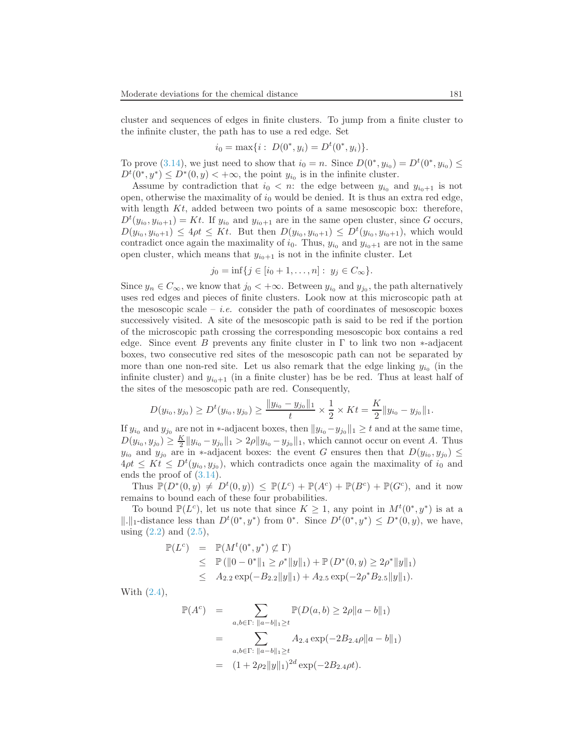cluster and sequences of edges in finite clusters. To jump from a finite cluster to the infinite cluster, the path has to use a red edge. Set

$$
i_0 = \max\{i : D(0^*, y_i) = D^t(0^*, y_i)\}.
$$

To prove [\(3.14\)](#page-9-1), we just need to show that  $i_0 = n$ . Since  $D(0^*, y_{i_0}) = D^t(0^*, y_{i_0}) \le$  $D^t(0^*, y^*) \leq D^*(0, y) < +\infty$ , the point  $y_{i_0}$  is in the infinite cluster.

Assume by contradiction that  $i_0 < n$ : the edge between  $y_{i_0}$  and  $y_{i_0+1}$  is not open, otherwise the maximality of  $i_0$  would be denied. It is thus an extra red edge, with length  $Kt$ , added between two points of a same mesoscopic box: therefore,  $D^t(y_{i_0}, y_{i_0+1}) = Kt$ . If  $y_{i_0}$  and  $y_{i_0+1}$  are in the same open cluster, since G occurs,  $D(y_{i_0}, y_{i_0+1}) \le 4\rho t \le Kt$ . But then  $D(y_{i_0}, y_{i_0+1}) \le D^t(y_{i_0}, y_{i_0+1})$ , which would contradict once again the maximality of  $i_0$ . Thus,  $y_{i_0}$  and  $y_{i_0+1}$  are not in the same open cluster, which means that  $y_{i_0+1}$  is not in the infinite cluster. Let

$$
j_0 = \inf\{j \in [i_0 + 1, \dots, n]: y_j \in C_{\infty}\}.
$$

Since  $y_n \in C_\infty$ , we know that  $j_0 < +\infty$ . Between  $y_{i_0}$  and  $y_{j_0}$ , the path alternatively uses red edges and pieces of finite clusters. Look now at this microscopic path at the mesoscopic scale – *i.e.* consider the path of coordinates of mesoscopic boxes successively visited. A site of the mesoscopic path is said to be red if the portion of the microscopic path crossing the corresponding mesoscopic box contains a red edge. Since event B prevents any finite cluster in  $\Gamma$  to link two non  $*$ -adjacent boxes, two consecutive red sites of the mesoscopic path can not be separated by more than one non-red site. Let us also remark that the edge linking  $y_{i_0}$  (in the infinite cluster) and  $y_{i_0+1}$  (in a finite cluster) has be be red. Thus at least half of the sites of the mesoscopic path are red. Consequently,

$$
D(y_{i_0}, y_{j_0}) \ge D^t(y_{i_0}, y_{j_0}) \ge \frac{\|y_{i_0} - y_{j_0}\|_1}{t} \times \frac{1}{2} \times Kt = \frac{K}{2} \|y_{i_0} - y_{j_0}\|_1.
$$

If  $y_{i_0}$  and  $y_{j_0}$  are not in ∗-adjacent boxes, then  $||y_{i_0}-y_{j_0}||_1 \geq t$  and at the same time,  $D(y_{i_0}, y_{j_0}) \geq \frac{K}{2} ||y_{i_0} - y_{j_0}||_1 > 2\rho ||y_{i_0} - y_{j_0}||_1$ , which cannot occur on event A. Thus  $y_{i_0}$  and  $y_{j_0}$  are in \*-adjacent boxes: the event G ensures then that  $D(y_{i_0}, y_{j_0}) \leq$  $4\rho t \leq Kt \leq D^{t}(y_{i_0}, y_{j_0}),$  which contradicts once again the maximality of  $i_0$  and ends the proof of [\(3.14\)](#page-9-1).

Thus  $\mathbb{P}(D^*(0,y) \neq D^t(0,y)) \leq \mathbb{P}(L^c) + \mathbb{P}(A^c) + \mathbb{P}(B^c) + \mathbb{P}(G^c)$ , and it now remains to bound each of these four probabilities.

To bound  $\mathbb{P}(L^c)$ , let us note that since  $K \geq 1$ , any point in  $M^t(0^*, y^*)$  is at a  $\|.\|_1$ -distance less than  $D^t(0^*, y^*)$  from  $0^*$ . Since  $D^t(0^*, y^*) \leq D^*(0, y)$ , we have, using  $(2.2)$  and  $(2.5)$ ,

$$
\mathbb{P}(L^{c}) = \mathbb{P}(M^{t}(0^{*}, y^{*}) \not\subset \Gamma)
$$
  
\n
$$
\leq \mathbb{P}(\|0 - 0^{*}\|_{1} \geq \rho^{*}\|y\|_{1}) + \mathbb{P}(D^{*}(0, y) \geq 2\rho^{*}\|y\|_{1})
$$
  
\n
$$
\leq A_{2.2} \exp(-B_{2.2} \|y\|_{1}) + A_{2.5} \exp(-2\rho^{*} B_{2.5} \|y\|_{1}).
$$

With [\(2.4\)](#page-3-1),

$$
\mathbb{P}(A^{c}) = \sum_{a,b \in \Gamma: ||a-b||_{1} \geq t} \mathbb{P}(D(a,b) \geq 2\rho ||a-b||_{1})
$$
  
= 
$$
\sum_{a,b \in \Gamma: ||a-b||_{1} \geq t} A_{2.4} \exp(-2B_{2.4}\rho ||a-b||_{1})
$$
  
= 
$$
(1 + 2\rho_{2} ||y||_{1})^{2d} \exp(-2B_{2.4}\rho t).
$$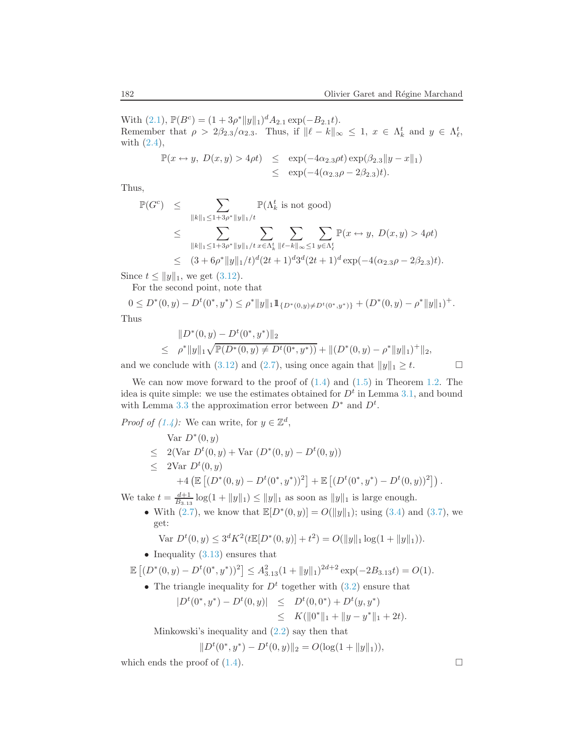With  $(2.1)$ ,  $\mathbb{P}(B^c) = (1 + 3\rho^* ||y||_1)^d A_{2.1} \exp(-B_{2.1}t)$ . Remember that  $\rho > 2\beta_{2.3}/\alpha_{2.3}$ . Thus, if  $\|\ell - k\|_{\infty} \leq 1$ ,  $x \in \Lambda_k^t$  and  $y \in \Lambda_k^t$ , with [\(2.4\)](#page-3-1),

$$
\mathbb{P}(x \leftrightarrow y, D(x, y) > 4\rho t) \le \exp(-4\alpha_{2.3}\rho t) \exp(\beta_{2.3} \|y - x\|_1) \le \exp(-4(\alpha_{2.3}\rho - 2\beta_{2.3})t).
$$

Thus,

$$
\mathbb{P}(G^{c}) \leq \sum_{\|k\|_{1} \leq 1+3\rho^{*}\|y\|_{1}/t} \mathbb{P}(\Lambda_{k}^{t} \text{ is not good})
$$
\n
$$
\leq \sum_{\|k\|_{1} \leq 1+3\rho^{*}\|y\|_{1}/t} \sum_{x \in \Lambda_{k}^{t}} \sum_{\|l-k\|_{\infty} \leq 1} \sum_{y \in \Lambda_{\ell}^{t}} \mathbb{P}(x \leftrightarrow y, D(x, y) > 4\rho t)
$$
\n
$$
\leq (3 + 6\rho^{*} \|y\|_{1}/t)^{d} (2t+1)^{d} 3^{d} (2t+1)^{d} \exp(-4(\alpha_{2.3}\rho - 2\beta_{2.3})t).
$$

Since  $t \le ||y||_1$ , we get [\(3.12\)](#page-9-2).

For the second point, note that

$$
0 \le D^*(0, y) - D^t(0^*, y^*) \le \rho^* \|y\|_1 \mathbb{1}_{\{D^*(0, y) \ne D^t(0^*, y^*)\}} + (D^*(0, y) - \rho^* \|y\|_1)^+.
$$
  
Thus

T

$$
||D^*(0, y) - D^t(0^*, y^*)||_2
$$
  
\n
$$
\leq \rho^* ||y||_1 \sqrt{\mathbb{P}(D^*(0, y) \neq D^t(0^*, y^*))} + ||(D^*(0, y) - \rho^*||y||_1)^+||_2,
$$

and we conclude with [\(3.12\)](#page-9-2) and [\(2.7\)](#page-4-0), using once again that  $||y||_1 \geq t$ .

We can now move forward to the proof of  $(1.4)$  and  $(1.5)$  in Theorem [1.2.](#page-1-5) The idea is quite simple: we use the estimates obtained for  $D<sup>t</sup>$  in Lemma [3.1,](#page-6-2) and bound with Lemma [3.3](#page-9-0) the approximation error between  $D^*$  and  $D^t$ .

*Proof of [\(1.4\)](#page-1-1)*: We can write, for  $y \in \mathbb{Z}^d$ ,

Var 
$$
D^*(0, y)
$$
  
\n $\leq 2(\text{Var } D^t(0, y) + \text{Var } (D^*(0, y) - D^t(0, y))$   
\n $\leq 2\text{Var } D^t(0, y)$ 

+4 
$$
(\mathbb{E} [(D^*(0, y) - D^t(0^*, y^*))^2] + \mathbb{E} [(D^t(0^*, y^*) - D^t(0, y))^2].
$$

We take  $t = \frac{d+1}{B_{3,13}} \log(1 + ||y||_1) \le ||y||_1$  as soon as  $||y||_1$  is large enough.

• With [\(2.7\)](#page-4-0), we know that  $\mathbb{E}[D^*(0, y)] = O(||y||_1)$ ; using [\(3.4\)](#page-6-3) and [\(3.7\)](#page-7-1), we get:

$$
\text{Var } D^t(0, y) \le 3^d K^2(t \mathbb{E}[D^*(0, y)] + t^2) = O(||y||_1 \log(1 + \|y\|_1)).
$$

• Inequality  $(3.13)$  ensures that

$$
\mathbb{E}\left[ (D^*(0, y) - D^t(0^*, y^*))^2 \right] \leq A_{3.13}^2 (1 + \|y\|_1)^{2d+2} \exp(-2B_{3.13}t) = O(1).
$$

• The triangle inequality for  $D<sup>t</sup>$  together with [\(3.2\)](#page-6-0) ensure that

$$
|D^{t}(0^{*}, y^{*}) - D^{t}(0, y)| \leq D^{t}(0, 0^{*}) + D^{t}(y, y^{*})
$$
  
\n
$$
\leq K(||0^{*}||_{1} + ||y - y^{*}||_{1} + 2t).
$$

Minkowski's inequality and [\(2.2\)](#page-2-0) say then that

$$
||Dt(0^*, y^*) - Dt(0, y)||_2 = O(log(1 + ||y||_1)),
$$

which ends the proof of  $(1.4)$ .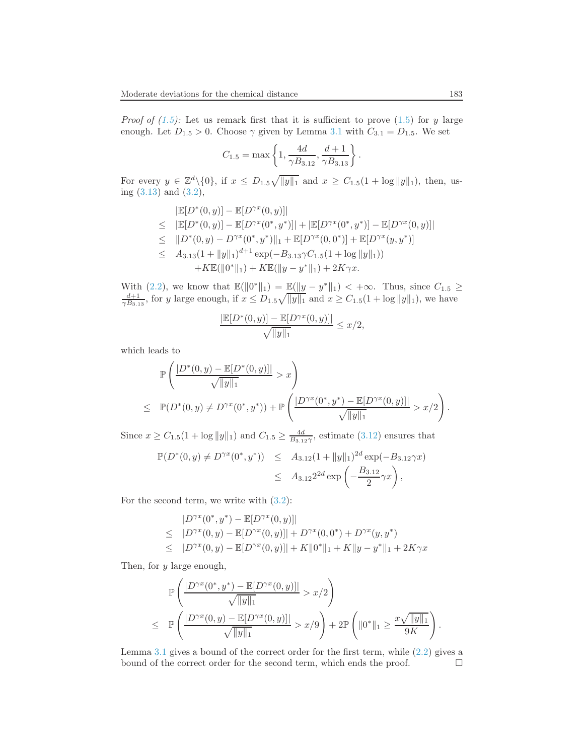*Proof of*  $(1.5)$ *:* Let us remark first that it is sufficient to prove  $(1.5)$  for y large enough. Let  $D_{1.5} > 0$ . Choose  $\gamma$  given by Lemma [3.1](#page-6-2) with  $C_{3.1} = D_{1.5}$ . We set

$$
C_{1.5} = \max\left\{1, \frac{4d}{\gamma B_{3.12}}, \frac{d+1}{\gamma B_{3.13}}\right\}.
$$

For every  $y \in \mathbb{Z}^d \setminus \{0\}$ , if  $x \leq D_{1.5}\sqrt{\|y\|_1}$  and  $x \geq C_{1.5}(1 + \log \|y\|_1)$ , then, using [\(3.13\)](#page-9-2) and [\(3.2\)](#page-6-0),

$$
|\mathbb{E}[D^*(0, y)] - \mathbb{E}[D^{\gamma x}(0, y)]|
$$
  
\n
$$
\leq |\mathbb{E}[D^*(0, y)] - \mathbb{E}[D^{\gamma x}(0^*, y^*)]| + |\mathbb{E}[D^{\gamma x}(0^*, y^*)] - \mathbb{E}[D^{\gamma x}(0, y)]|
$$
  
\n
$$
\leq ||D^*(0, y) - D^{\gamma x}(0^*, y^*)||_1 + \mathbb{E}[D^{\gamma x}(0, 0^*)] + \mathbb{E}[D^{\gamma x}(y, y^*)]
$$
  
\n
$$
\leq A_{3.13}(1 + ||y||_1)^{d+1} \exp(-B_{3.13}\gamma C_{1.5}(1 + \log ||y||_1))
$$
  
\n
$$
+ K\mathbb{E}(||0^*||_1) + K\mathbb{E}(||y - y^*||_1) + 2K\gamma x.
$$

With [\(2.2\)](#page-2-0), we know that  $\mathbb{E}(\|0^*\|_1) = \mathbb{E}(\|y - y^*\|_1) < +\infty$ . Thus, since  $C_{1.5} \ge \frac{d+1}{\gamma B_{3.13}}$ , for y large enough, if  $x \le D_{1.5}\sqrt{\|y\|_1}$  and  $x \ge C_{1.5}(1 + \log \|y\|_1)$ , we have

$$
\frac{|\mathbb{E}[D^*(0, y)] - \mathbb{E}[D^{\gamma x}(0, y)]|}{\sqrt{\|y\|_1}} \le x/2,
$$

which leads to

$$
\mathbb{P}\left(\frac{|D^*(0,y) - \mathbb{E}[D^*(0,y)]|}{\sqrt{\|y\|_1}} > x\right)
$$
\n
$$
\leq \mathbb{P}(D^*(0,y) \neq D^{\gamma x}(0^*,y^*)) + \mathbb{P}\left(\frac{|D^{\gamma x}(0^*,y^*) - \mathbb{E}[D^{\gamma x}(0,y)]|}{\sqrt{\|y\|_1}} > x/2\right).
$$

Since  $x \geq C_{1.5}(1 + \log ||y||_1)$  and  $C_{1.5} \geq \frac{4d}{B_{3.12}\gamma}$ , estimate [\(3.12\)](#page-9-2) ensures that

$$
\mathbb{P}(D^*(0, y) \neq D^{\gamma x}(0^*, y^*)) \leq A_{3.12}(1 + \|y\|_1)^{2d} \exp(-B_{3.12}\gamma x)
$$
  
 
$$
\leq A_{3.12} 2^{2d} \exp\left(-\frac{B_{3.12}}{2}\gamma x\right),
$$

For the second term, we write with  $(3.2)$ :

$$
|D^{\gamma x}(0^*, y^*) - \mathbb{E}[D^{\gamma x}(0, y)]|
$$
  
\n
$$
\leq |D^{\gamma x}(0, y) - \mathbb{E}[D^{\gamma x}(0, y)]| + D^{\gamma x}(0, 0^*) + D^{\gamma x}(y, y^*)
$$
  
\n
$$
\leq |D^{\gamma x}(0, y) - \mathbb{E}[D^{\gamma x}(0, y)]| + K ||0^*||_1 + K ||y - y^*||_1 + 2K\gamma x
$$

Then, for y large enough,

$$
\mathbb{P}\left(\frac{|D^{\gamma x}(0^*,y^*) - \mathbb{E}[D^{\gamma x}(0,y)]|}{\sqrt{\|y\|_1}} > x/2\right) \leq \mathbb{P}\left(\frac{|D^{\gamma x}(0,y) - \mathbb{E}[D^{\gamma x}(0,y)]|}{\sqrt{\|y\|_1}} > x/9\right) + 2\mathbb{P}\left(\|0^*\|_1 \geq \frac{x\sqrt{\|y\|_1}}{9K}\right).
$$

Lemma [3.1](#page-6-2) gives a bound of the correct order for the first term, while [\(2.2\)](#page-2-0) gives a bound of the correct order for the second term, which ends the proof.  $\Box$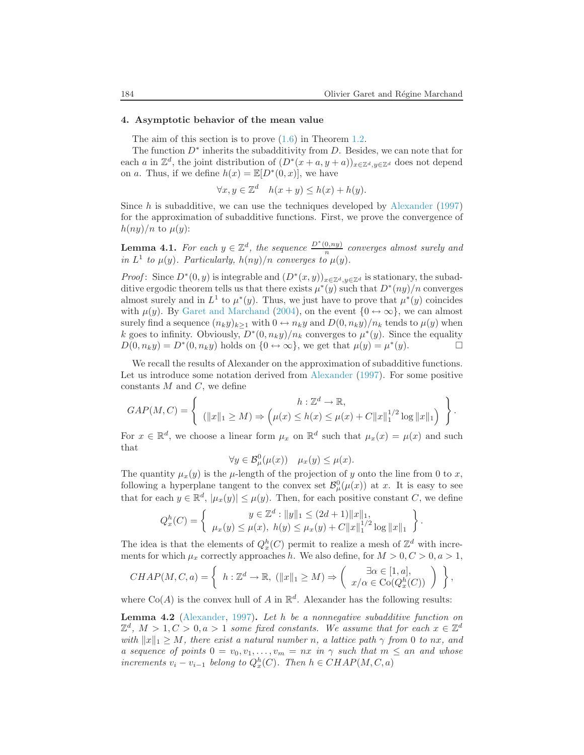#### 4. Asymptotic behavior of the mean value

The aim of this section is to prove  $(1.6)$  in Theorem [1.2.](#page-1-5)

The function  $D^*$  inherits the subadditivity from D. Besides, we can note that for each a in  $\mathbb{Z}^d$ , the joint distribution of  $(D^*(x+a,y+a))_{x\in\mathbb{Z}^d,y\in\mathbb{Z}^d}$  does not depend on a. Thus, if we define  $h(x) = \mathbb{E}[D^*(0, x)]$ , we have

$$
\forall x, y \in \mathbb{Z}^d \quad h(x+y) \le h(x) + h(y).
$$

Since h is subadditive, we can use the techniques developed by [Alexander](#page-19-9)  $(1997)$ for the approximation of subadditive functions. First, we prove the convergence of  $h(ny)/n$  to  $\mu(y)$ :

<span id="page-13-2"></span>**Lemma 4.1.** For each  $y \in \mathbb{Z}^d$ , the sequence  $\frac{D^*(0, ny)}{n}$  $\frac{0, ny}{n}$  converges almost surely and in  $L^1$  to  $\mu(y)$ . Particularly,  $h(ny)/n$  converges to  $\mu(y)$ .

*Proof*: Since  $D^*(0, y)$  is integrable and  $(D^*(x, y))_{x \in \mathbb{Z}^d, y \in \mathbb{Z}^d}$  is stationary, the subadditive ergodic theorem tells us that there exists  $\mu^*(y)$  such that  $D^*(ny)/n$  converges almost surely and in  $L^1$  to  $\mu^*(y)$ . Thus, we just have to prove that  $\mu^*(y)$  coincides with  $\mu(y)$ . By [Garet and Marchand](#page-19-0) [\(2004\)](#page-19-0), on the event  $\{0 \leftrightarrow \infty\}$ , we can almost surely find a sequence  $(n_k y)_{k>1}$  with  $0 \leftrightarrow n_k y$  and  $D(0, n_k y)/n_k$  tends to  $\mu(y)$  when k goes to infinity. Obviously,  $D^*(0, n_k y)/n_k$  converges to  $\mu^*(y)$ . Since the equality  $D(0, n_k y) = D^*(0, n_k y)$  holds on  $\{0 \leftrightarrow \infty\}$ , we get that  $\mu(y) = \mu^*(y)$ .

We recall the results of Alexander on the approximation of subadditive functions. Let us introduce some notation derived from [Alexander](#page-19-9) [\(1997](#page-19-9)). For some positive constants  $M$  and  $C$ , we define

$$
GAP(M, C) = \left\{ \begin{array}{c} h: \mathbb{Z}^d \to \mathbb{R}, \\ (\|x\|_1 \ge M) \Rightarrow \left(\mu(x) \le h(x) \le \mu(x) + C \|x\|_1^{1/2} \log \|x\|_1 \right) \end{array} \right\}.
$$

For  $x \in \mathbb{R}^d$ , we choose a linear form  $\mu_x$  on  $\mathbb{R}^d$  such that  $\mu_x(x) = \mu(x)$  and such that

$$
\forall y \in \mathcal{B}^0_\mu(\mu(x)) \quad \mu_x(y) \le \mu(x).
$$

The quantity  $\mu_x(y)$  is the  $\mu$ -length of the projection of y onto the line from 0 to x, following a hyperplane tangent to the convex set  $\mathcal{B}_{\mu}^{0}(\mu(x))$  at x. It is easy to see that for each  $y \in \mathbb{R}^d$ ,  $|\mu_x(y)| \leq \mu(y)$ . Then, for each positive constant C, we define

$$
Q_x^h(C) = \left\{ \begin{array}{c} y \in \mathbb{Z}^d : ||y||_1 \le (2d+1) ||x||_1, \\ \mu_x(y) \le \mu(x), \ h(y) \le \mu_x(y) + C ||x||_1^{1/2} \log ||x||_1 \end{array} \right\}.
$$

The idea is that the elements of  $Q_x^h(C)$  permit to realize a mesh of  $\mathbb{Z}^d$  with increments for which  $\mu_x$  correctly approaches h. We also define, for  $M > 0, C > 0, a > 1$ ,

$$
CHAP(M, C, a) = \left\{ h: \mathbb{Z}^d \to \mathbb{R}, \left( ||x||_1 \ge M \right) \Rightarrow \left( \begin{array}{c} \exists \alpha \in [1, a], \\ x/\alpha \in \text{Co}(Q_x^h(C)) \end{array} \right) \right\},
$$

<span id="page-13-0"></span>where  $Co(A)$  is the convex hull of A in  $\mathbb{R}^d$ . Alexander has the following results:

<span id="page-13-1"></span>**Lemma 4.2** [\(Alexander](#page-19-9), [1997\)](#page-19-9). Let h be a nonnegative subadditive function on  $\mathbb{Z}^d$ ,  $M > 1, C > 0, a > 1$  some fixed constants. We assume that for each  $x \in \mathbb{Z}^d$ with  $||x||_1 \geq M$ , there exist a natural number n, a lattice path  $\gamma$  from 0 to nx, and a sequence of points  $0 = v_0, v_1, \ldots, v_m = nx$  in  $\gamma$  such that  $m \leq an$  and whose increments  $v_i - v_{i-1}$  belong to  $Q_x^h(C)$ . Then  $h \in CHAP(M, C, a)$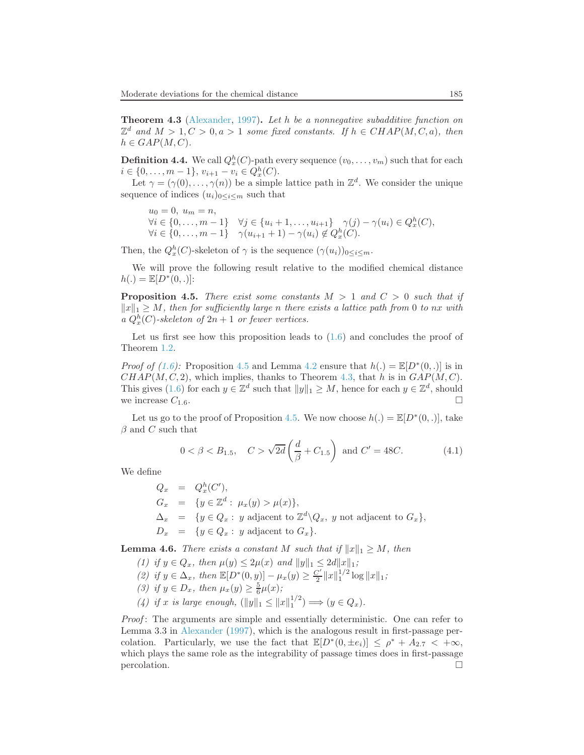Theorem 4.3 [\(Alexander,](#page-19-9) [1997\)](#page-19-9). Let h be a nonnegative subadditive function on  $\mathbb{Z}^d$  and  $M > 1, C > 0, a > 1$  some fixed constants. If  $h \in CHAP(M, C, a)$ , then  $h \in GAP(M, C).$ 

**Definition 4.4.** We call  $Q_x^h(C)$ -path every sequence  $(v_0, \ldots, v_m)$  such that for each  $i \in \{0, \ldots, m-1\}, v_{i+1} - v_i \in Q_x^h(C).$ 

Let  $\gamma = (\gamma(0), \ldots, \gamma(n))$  be a simple lattice path in  $\mathbb{Z}^d$ . We consider the unique sequence of indices  $(u_i)_{0 \leq i \leq m}$  such that

 $u_0 = 0, u_m = n,$  $\forall i \in \{0, ..., m-1\} \quad \forall j \in \{u_i + 1, ..., u_{i+1}\} \quad \gamma(j) - \gamma(u_i) \in Q_x^h(C),$  $\forall i \in \{0, ..., m-1\}$   $\gamma(u_{i+1} + 1) - \gamma(u_i) \notin Q_x^h(C)$ .

Then, the  $Q_x^h(C)$ -skeleton of  $\gamma$  is the sequence  $(\gamma(u_i))_{0 \le i \le m}$ .

<span id="page-14-0"></span>We will prove the following result relative to the modified chemical distance  $h(.) = \mathbb{E}[D^*(0,.)]$ :

**Proposition 4.5.** There exist some constants  $M > 1$  and  $C > 0$  such that if  $||x||_1 \geq M$ , then for sufficiently large n there exists a lattice path from 0 to nx with a  $Q_x^h(C)$ -skeleton of  $2n + 1$  or fewer vertices.

Let us first see how this proposition leads to  $(1.6)$  and concludes the proof of Theorem [1.2.](#page-1-5)

*Proof of [\(1.6\)](#page-1-3)*: Proposition [4.5](#page-14-0) and Lemma [4.2](#page-13-0) ensure that  $h(.) = \mathbb{E}[D^*(0,.)]$  is in  $CHAP(M, C, 2)$ , which implies, thanks to Theorem [4.3,](#page-13-1) that h is in  $GAP(M, C)$ . This gives  $(1.6)$  for each  $y \in \mathbb{Z}^d$  such that  $||y||_1 \geq M$ , hence for each  $y \in \mathbb{Z}^d$ , should we increase  $C_{1.6}$ .

<span id="page-14-2"></span>Let us go to the proof of Proposition [4.5.](#page-14-0) We now choose  $h(.) = \mathbb{E}[D^*(0,.)]$ , take  $\beta$  and C such that

$$
0 < \beta < B_{1.5},
$$
  $C > \sqrt{2d} \left( \frac{d}{\beta} + C_{1.5} \right)$  and  $C' = 48C.$  (4.1)

We define

$$
Q_x = Q_x^h(C'),
$$
  
\n
$$
G_x = \{y \in \mathbb{Z}^d : \mu_x(y) > \mu(x)\},
$$
  
\n
$$
\Delta_x = \{y \in Q_x : y \text{ adjacent to } \mathbb{Z}^d \setminus Q_x, y \text{ not adjacent to } G_x\},
$$
  
\n
$$
D_x = \{y \in Q_x : y \text{ adjacent to } G_x\}.
$$

<span id="page-14-1"></span>**Lemma 4.6.** There exists a constant M such that if  $||x||_1 \geq M$ , then

- (1) if  $y \in Q_x$ , then  $\mu(y) \leq 2\mu(x)$  and  $||y||_1 \leq 2d||x||_1$ ;
- (2) if  $y \in \Delta_x$ , then  $\mathbb{E}[D^*(0, y)] \mu_x(y) \geq \frac{C'}{2} ||x||_1^{1/2} \log ||x||_1$ ;
- (3) if  $y \in D_x$ , then  $\mu_x(y) \geq \frac{5}{6}\mu(x)$ ;
- (4) if x is large enough,  $(||y||_1 \leq ||x||_1^{1/2}) \Longrightarrow (y \in Q_x)$ .

Proof: The arguments are simple and essentially deterministic. One can refer to Lemma 3.3 in [Alexander](#page-19-9) [\(1997](#page-19-9)), which is the analogous result in first-passage percolation. Particularly, we use the fact that  $\mathbb{E}[D^*(0, \pm e_i)] \leq \rho^* + A_{2.7} < +\infty$ , which plays the same role as the integrability of passage times does in first-passage  $\Box$  percolation.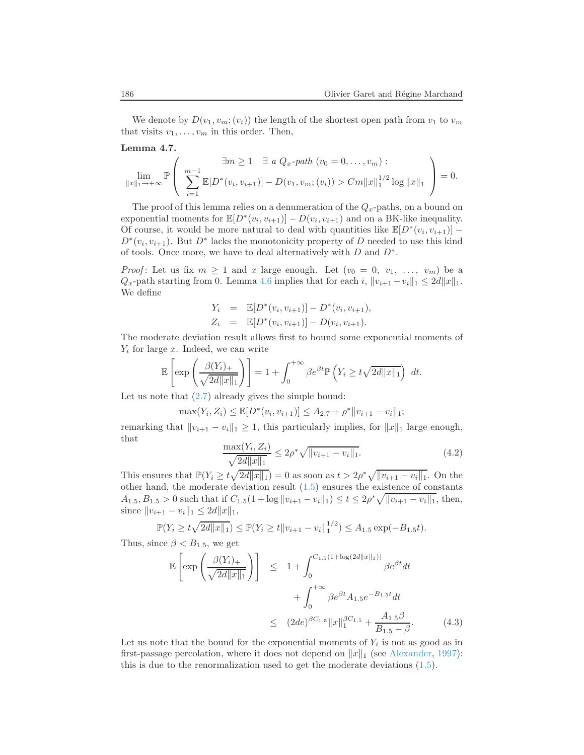<span id="page-15-2"></span>We denote by  $D(v_1, v_m; (v_i))$  the length of the shortest open path from  $v_1$  to  $v_m$ that visits  $v_1, \ldots, v_m$  in this order. Then,

Lemma 4.7.

$$
\lim_{\|x\|_1\to+\infty} \mathbb{P}\left(\n\sum_{i=1}^{m-1} \mathbb{E}[D^*(v_i, v_{i+1})] - D(v_1, v_m; (v_i)) > Cm\|x\|_1^{1/2} \log \|x\|_1\n\right) = 0.
$$

The proof of this lemma relies on a denumeration of the  $Q_x$ -paths, on a bound on exponential moments for  $\mathbb{E}[D^*(v_i, v_{i+1})] - D(v_i, v_{i+1})$  and on a BK-like inequality. Of course, it would be more natural to deal with quantities like  $\mathbb{E}[D^*(v_i, v_{i+1})]$  –  $D^*(v_i, v_{i+1})$ . But  $D^*$  lacks the monotonicity property of D needed to use this kind of tools. Once more, we have to deal alternatively with  $D$  and  $D^*$ .

*Proof*: Let us fix  $m \ge 1$  and x large enough. Let  $(v_0 = 0, v_1, \ldots, v_m)$  be a  $Q_x$ -path starting from 0. Lemma [4.6](#page-14-1) implies that for each i,  $||v_{i+1} - v_i||_1 \leq 2d||x||_1$ . We define

$$
Y_i = \mathbb{E}[D^*(v_i, v_{i+1})] - D^*(v_i, v_{i+1}),
$$
  
\n
$$
Z_i = \mathbb{E}[D^*(v_i, v_{i+1})] - D(v_i, v_{i+1}).
$$

The moderate deviation result allows first to bound some exponential moments of  $Y_i$  for large x. Indeed, we can write

$$
\mathbb{E}\left[\exp\left(\frac{\beta(Y_i)_+}{\sqrt{2d||x||_1}}\right)\right] = 1 + \int_0^{+\infty} \beta e^{\beta t} \mathbb{P}\left(Y_i \ge t\sqrt{2d||x||_1}\right) dt.
$$

Let us note that  $(2.7)$  already gives the simple bound:

$$
\max(Y_i, Z_i) \leq \mathbb{E}[D^*(v_i, v_{i+1})] \leq A_{2.7} + \rho^* ||v_{i+1} - v_i||_1;
$$

<span id="page-15-0"></span>remarking that  $||v_{i+1} - v_i||_1 \ge 1$ , this particularly implies, for  $||x||_1$  large enough, that

$$
\frac{\max(Y_i, Z_i)}{\sqrt{2d||x||_1}} \le 2\rho^* \sqrt{||v_{i+1} - v_i||_1}.
$$
\n(4.2)

This ensures that  $\mathbb{P}(Y_i \ge t\sqrt{2d||x||_1}) = 0$  as soon as  $t > 2\rho^* \sqrt{||v_{i+1} - v_i||_1}$ . On the other hand, the moderate deviation result [\(1.5\)](#page-1-2) ensures the existence of constants  $A_{1.5}, B_{1.5} > 0$  such that if  $C_{1.5}(1 + \log ||v_{i+1} - v_i||_1) \le t \le 2\rho^* \sqrt{||v_{i+1} - v_i||_1}$ , then, since  $||v_{i+1} - v_i||_1 \leq 2d||x||_1$ ,

$$
\mathbb{P}(Y_i \ge t\sqrt{2d||x||_1}) \le \mathbb{P}(Y_i \ge t||v_{i+1} - v_i||_1^{1/2}) \le A_{1.5} \exp(-B_{1.5}t).
$$

<span id="page-15-1"></span>Thus, since  $\beta < B_{1.5}$ , we get

$$
\mathbb{E}\left[\exp\left(\frac{\beta(Y_i)_+}{\sqrt{2d||x||_1}}\right)\right] \leq 1 + \int_0^{C_{1.5}(1+\log(2d||x||_1))} \beta e^{\beta t} dt \n+ \int_0^{+\infty} \beta e^{\beta t} A_{1.5} e^{-B_{1.5}t} dt \n\leq (2de)^{\beta C_{1.5}} ||x||_1^{\beta C_{1.5}} + \frac{A_{1.5}\beta}{B_{1.5} - \beta}.
$$
\n(4.3)

Let us note that the bound for the exponential moments of  $Y_i$  is not as good as in first-passage percolation, where it does not depend on  $||x||_1$  (see [Alexander,](#page-19-9) [1997\)](#page-19-9): this is due to the renormalization used to get the moderate deviations [\(1.5\)](#page-1-2).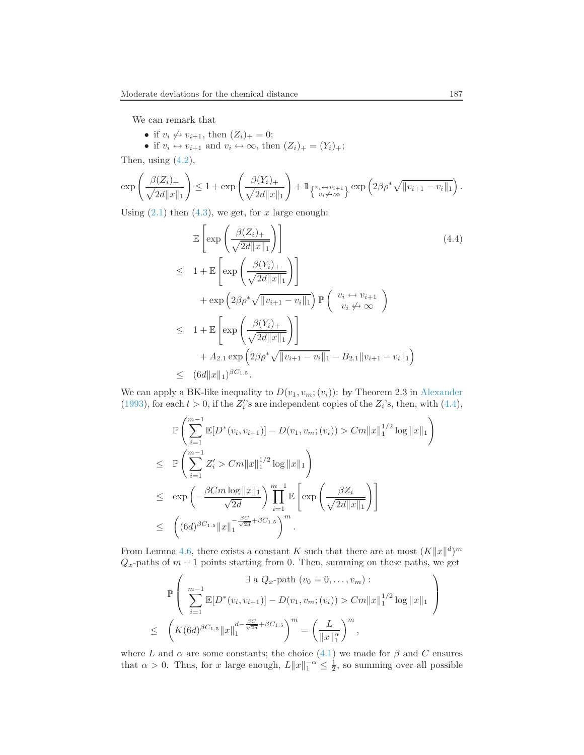We can remark that

- if  $v_i \nleftrightarrow v_{i+1}$ , then  $(Z_i)_+ = 0$ ;
- if  $v_i \leftrightarrow v_{i+1}$  and  $v_i \leftrightarrow \infty$ , then  $(Z_i)_+ = (Y_i)_+$ ;

Then, using  $(4.2)$ ,

$$
\exp\left(\frac{\beta(Z_i)_+}{\sqrt{2d||x||_1}}\right) \le 1 + \exp\left(\frac{\beta(Y_i)_+}{\sqrt{2d||x||_1}}\right) + 1_{\{v_i \leftrightarrow v_{i+1}\}\atop{v_i \neq \infty}} \exp\left(2\beta \rho^* \sqrt{||v_{i+1} - v_i||_1}\right).
$$

<span id="page-16-0"></span>Using  $(2.1)$  then  $(4.3)$ , we get, for x large enough:

$$
\mathbb{E}\left[\exp\left(\frac{\beta(Z_i)_+}{\sqrt{2d||x||_1}}\right)\right]
$$
\n
$$
\leq 1 + \mathbb{E}\left[\exp\left(\frac{\beta(Y_i)_+}{\sqrt{2d||x||_1}}\right)\right]
$$
\n
$$
+ \exp\left(2\beta\rho^*\sqrt{||v_{i+1} - v_i||_1}\right) \mathbb{P}\left(\begin{array}{c} v_i \leftrightarrow v_{i+1} \\ v_i \neq \infty \end{array}\right)
$$
\n
$$
\leq 1 + \mathbb{E}\left[\exp\left(\frac{\beta(Y_i)_+}{\sqrt{2d||x||_1}}\right)\right]
$$
\n
$$
+ A_{2.1} \exp\left(2\beta\rho^*\sqrt{||v_{i+1} - v_i||_1} - B_{2.1}||v_{i+1} - v_i||_1\right)
$$
\n
$$
\leq (6d||x||_1)^{\beta C_{1.5}}.
$$
\n(6)

We can apply a BK-like inequality to  $D(v_1, v_m; (v_i))$ : by Theorem 2.3 in [Alexander](#page-19-8) [\(1993\)](#page-19-8), for each  $t > 0$ , if the  $Z_i$ 's are independent copies of the  $Z_i$ 's, then, with [\(4.4\)](#page-16-0),

$$
\mathbb{P}\left(\sum_{i=1}^{m-1}\mathbb{E}[D^*(v_i, v_{i+1})] - D(v_1, v_m; (v_i)) > Cm||x||_1^{1/2}\log||x||_1\right) \n\leq \mathbb{P}\left(\sum_{i=1}^{m-1} Z'_i > Cm||x||_1^{1/2}\log||x||_1\right) \n\leq \exp\left(-\frac{\beta Cm\log||x||_1}{\sqrt{2d}}\right) \prod_{i=1}^{m-1} \mathbb{E}\left[\exp\left(\frac{\beta Z_i}{\sqrt{2d||x||_1}}\right)\right] \n\leq \left((6d)^{\beta C_{1.5}}||x||_1^{-\frac{\beta C}{\sqrt{2d}}} + \beta C_{1.5}\right)^m.
$$

From Lemma [4.6,](#page-14-1) there exists a constant K such that there are at most  $(K||x||^d)^m$  $Q_x$ -paths of  $m + 1$  points starting from 0. Then, summing on these paths, we get

$$
\mathbb{P}\left(\sum_{i=1}^{m-1} \mathbb{E}[D^*(v_i, v_{i+1})] - D(v_1, v_m; (v_i)) > Cm||x||_1^{1/2} \log ||x||_1 \right)
$$
  
\n
$$
\leq \left(K(6d)^{\beta C_{1.5}}||x||_1^{d - \frac{\beta C}{\sqrt{2d}} + \beta C_{1.5}}\right)^m = \left(\frac{L}{||x||_1^{\alpha}}\right)^m,
$$

where L and  $\alpha$  are some constants; the choice [\(4.1\)](#page-14-2) we made for  $\beta$  and C ensures that  $\alpha > 0$ . Thus, for x large enough,  $L||x||_1^{-\alpha} \leq \frac{1}{2}$ , so summing over all possible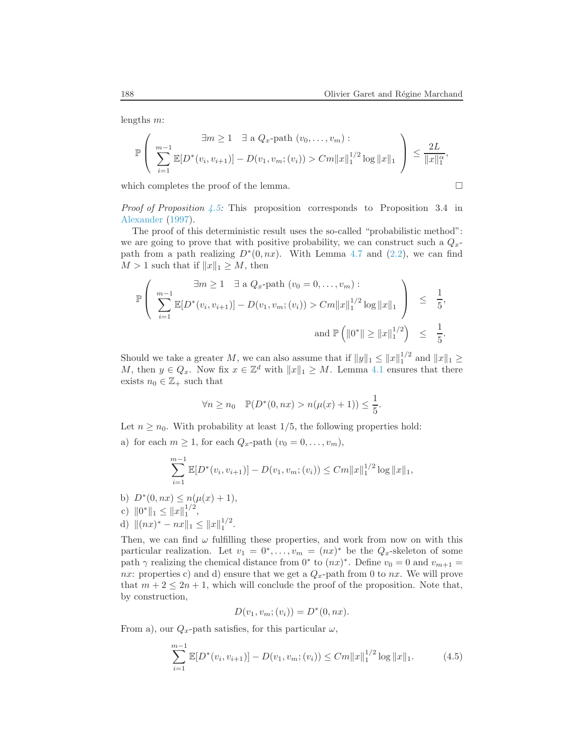lengths m:

$$
\mathbb{P}\left(\n\begin{array}{c}\n\exists m \geq 1 \quad \exists \text{ a } Q_x\text{-path } (v_0, \ldots, v_m) : \\
\sum_{i=1}^{m-1} \mathbb{E}[D^*(v_i, v_{i+1})] - D(v_1, v_m; (v_i)) > Cm||x||_1^{1/2} \log ||x||_1\n\end{array}\n\right) \leq \frac{2L}{||x||_1^{\alpha}},
$$

which completes the proof of the lemma.

$$
\Box
$$

*Proof of Proposition [4.5:](#page-14-0)* This proposition corresponds to Proposition 3.4 in [Alexander](#page-19-9) [\(1997](#page-19-9)).

The proof of this deterministic result uses the so-called "probabilistic method": we are going to prove that with positive probability, we can construct such a  $Q_x$ path from a path realizing  $D^*(0, nx)$ . With Lemma [4.7](#page-15-2) and [\(2.2\)](#page-2-0), we can find  $M > 1$  such that if  $||x||_1 \geq M$ , then

$$
\mathbb{P}\left(\begin{array}{ll}\exists m\geq 1 & \exists \text{ a } Q_x\text{-path } (v_0=0,\ldots,v_m): \\[1mm] \sum_{i=1}^{m-1}\mathbb{E}[D^*(v_i,v_{i+1})]-D(v_1,v_m;(v_i)) > Cm||x||_1^{1/2}\log||x||_1\\[1mm] \text{and } \mathbb{P}\left(\|0^*\|\geq ||x||_1^{1/2}\right) \leq \frac{1}{5}.\end{array}\right.
$$

Should we take a greater M, we can also assume that if  $||y||_1 \le ||x||_1^{1/2}$  and  $||x||_1 \ge$ M, then  $y \in Q_x$ . Now fix  $x \in \mathbb{Z}^d$  with  $||x||_1 \geq M$ . Lemma [4.1](#page-13-2) ensures that there exists  $n_0 \in \mathbb{Z}_+$  such that

$$
\forall n \ge n_0 \quad \mathbb{P}(D^*(0, nx) > n(\mu(x) + 1)) \le \frac{1}{5}.
$$

Let  $n \geq n_0$ . With probability at least 1/5, the following properties hold:

a) for each  $m \geq 1$ , for each  $Q_x$ -path  $(v_0 = 0, \ldots, v_m)$ ,

$$
\sum_{i=1}^{m-1} \mathbb{E}[D^*(v_i, v_{i+1})] - D(v_1, v_m; (v_i)) \le Cm ||x||_1^{1/2} \log ||x||_1,
$$

- b)  $D^*(0, nx) \leq n(\mu(x) + 1),$
- c)  $||0^*||_1 \leq ||x||_1^{1/2}$ ,
- d)  $||(nx)^* nx||_1 \le ||x||_1^{1/2}$ .

Then, we can find  $\omega$  fulfilling these properties, and work from now on with this particular realization. Let  $v_1 = 0^*, \ldots, v_m = (nx)^*$  be the  $Q_x$ -skeleton of some path  $\gamma$  realizing the chemical distance from 0<sup>\*</sup> to  $(nx)^*$ . Define  $v_0 = 0$  and  $v_{m+1} =$ nx: properties c) and d) ensure that we get a  $Q_x$ -path from 0 to nx. We will prove that  $m + 2 \leq 2n + 1$ , which will conclude the proof of the proposition. Note that, by construction,

$$
D(v_1, v_m; (v_i)) = D^*(0, nx).
$$

From a), our  $Q_x$ -path satisfies, for this particular  $\omega$ ,

$$
\sum_{i=1}^{m-1} \mathbb{E}[D^*(v_i, v_{i+1})] - D(v_1, v_m; (v_i)) \le Cm ||x||_1^{1/2} \log ||x||_1.
$$
 (4.5)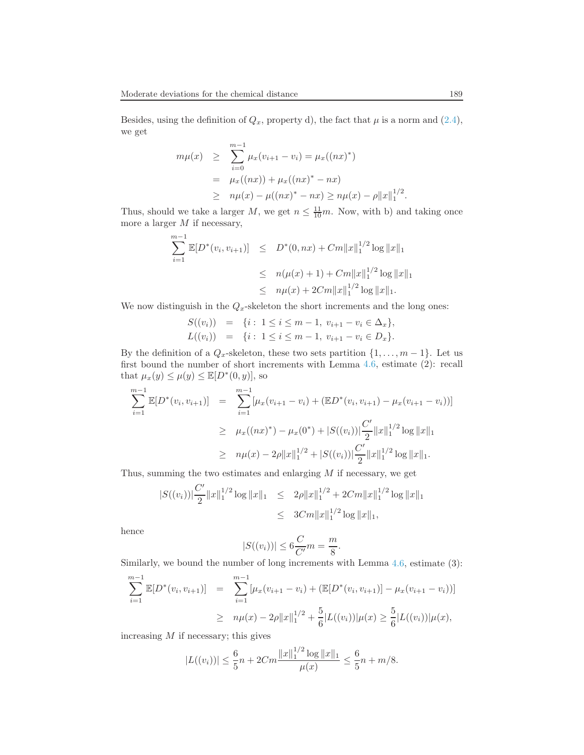Besides, using the definition of  $Q_x$ , property d), the fact that  $\mu$  is a norm and [\(2.4\)](#page-3-1), we get

$$
m\mu(x) \geq \sum_{i=0}^{m-1} \mu_x(v_{i+1} - v_i) = \mu_x((nx)^*)
$$
  
=  $\mu_x((nx)) + \mu_x((nx)^* - nx)$   
 $\geq n\mu(x) - \mu((nx)^* - nx) \geq n\mu(x) - \rho ||x||_1^{1/2}.$ 

Thus, should we take a larger M, we get  $n \leq \frac{11}{10}m$ . Now, with b) and taking once more a larger  $M$  if necessary,

$$
\sum_{i=1}^{m-1} \mathbb{E}[D^*(v_i, v_{i+1})] \le D^*(0, nx) + Cm ||x||_1^{1/2} \log ||x||_1
$$
  
\n
$$
\le n(\mu(x) + 1) + Cm ||x||_1^{1/2} \log ||x||_1
$$
  
\n
$$
\le n\mu(x) + 2Cm ||x||_1^{1/2} \log ||x||_1.
$$

We now distinguish in the  $Q_x$ -skeleton the short increments and the long ones:

$$
S((v_i)) = \{i : 1 \le i \le m-1, v_{i+1} - v_i \in \Delta_x\},
$$
  
\n
$$
L((v_i)) = \{i : 1 \le i \le m-1, v_{i+1} - v_i \in D_x\}.
$$

By the definition of a  $Q_x$ -skeleton, these two sets partition  $\{1, \ldots, m-1\}$ . Let us first bound the number of short increments with Lemma [4.6,](#page-14-1) estimate (2): recall that  $\mu_x(y) \leq \mu(y) \leq \mathbb{E}[D^*(0, y)],$  so

$$
\sum_{i=1}^{m-1} \mathbb{E}[D^*(v_i, v_{i+1})] = \sum_{i=1}^{m-1} [\mu_x(v_{i+1} - v_i) + (\mathbb{E}D^*(v_i, v_{i+1}) - \mu_x(v_{i+1} - v_i))]
$$
  
\n
$$
\geq \mu_x((nx)^*) - \mu_x(0^*) + |S((v_i))| \frac{C'}{2} ||x||_1^{1/2} \log ||x||_1
$$
  
\n
$$
\geq n\mu(x) - 2\rho ||x||_1^{1/2} + |S((v_i))| \frac{C'}{2} ||x||_1^{1/2} \log ||x||_1.
$$

Thus, summing the two estimates and enlarging  $M$  if necessary, we get

$$
|S((v_i))| \frac{C'}{2} ||x||_1^{1/2} \log ||x||_1 \le 2\rho ||x||_1^{1/2} + 2Cm ||x||_1^{1/2} \log ||x||_1
$$
  

$$
\le 3Cm ||x||_1^{1/2} \log ||x||_1,
$$

hence

$$
|S((v_i))| \le 6\frac{C}{C'}m = \frac{m}{8}.
$$

Similarly, we bound the number of long increments with Lemma [4.6,](#page-14-1) estimate (3):

$$
\sum_{i=1}^{m-1} \mathbb{E}[D^*(v_i, v_{i+1})] = \sum_{i=1}^{m-1} [\mu_x(v_{i+1} - v_i) + (\mathbb{E}[D^*(v_i, v_{i+1})] - \mu_x(v_{i+1} - v_i))]
$$
  

$$
\geq n\mu(x) - 2\rho ||x||_1^{1/2} + \frac{5}{6}|L((v_i))|\mu(x) \geq \frac{5}{6}|L((v_i))|\mu(x),
$$

increasing  $M$  if necessary; this gives

$$
|L((v_i))| \le \frac{6}{5}n + 2Cm \frac{\|x\|_1^{1/2} \log \|x\|_1}{\mu(x)} \le \frac{6}{5}n + m/8.
$$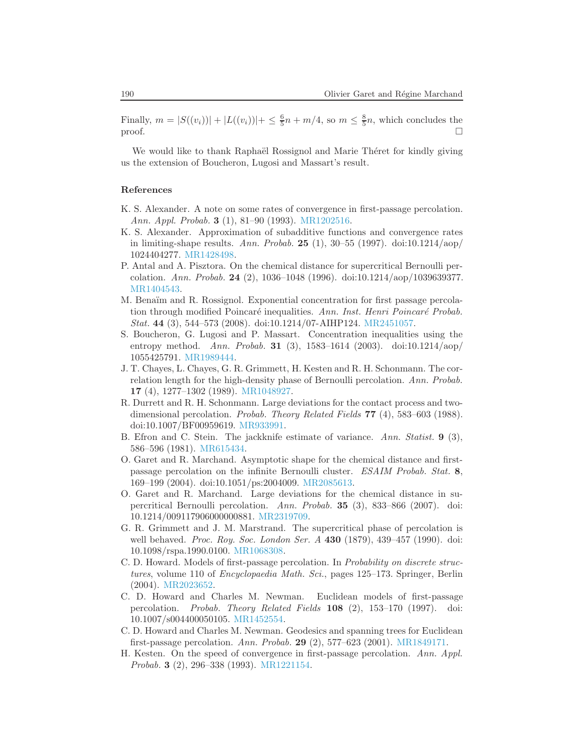Finally,  $m = |S((v_i))| + |L((v_i))| + \leq \frac{6}{5}n + m/4$ , so  $m \leq \frac{8}{5}n$ , which concludes the proof.  $\Box$ 

We would like to thank Raphaël Rossignol and Marie Théret for kindly giving us the extension of Boucheron, Lugosi and Massart's result.

### References

- <span id="page-19-8"></span>K. S. Alexander. A note on some rates of convergence in first-passage percolation. Ann. Appl. Probab. 3 (1), 81–90 (1993). [MR1202516.](http://www.ams.org/mathscinet-getitem?mr=MR1202516)
- <span id="page-19-9"></span>K. S. Alexander. Approximation of subadditive functions and convergence rates in limiting-shape results. Ann. Probab. **25** (1),  $30-55$  (1997). doi:10.1214/aop/ 1024404277. [MR1428498.](http://www.ams.org/mathscinet-getitem?mr=MR1428498)
- <span id="page-19-10"></span>P. Antal and A. Pisztora. On the chemical distance for supercritical Bernoulli percolation. Ann. Probab. 24 (2), 1036–1048 (1996). doi:10.1214/aop/1039639377. [MR1404543.](http://www.ams.org/mathscinet-getitem?mr=MR1404543)
- <span id="page-19-6"></span>M. Benaïm and R. Rossignol. Exponential concentration for first passage percolation through modified Poincaré inequalities. Ann. Inst. Henri Poincaré Probab. Stat. 44 (3), 544–573 (2008). doi:10.1214/07-AIHP124. [MR2451057.](http://www.ams.org/mathscinet-getitem?mr=MR2451057)
- <span id="page-19-7"></span>S. Boucheron, G. Lugosi and P. Massart. Concentration inequalities using the entropy method. Ann. Probab. **31** (3), 1583-1614 (2003). doi:10.1214/aop/ 1055425791. [MR1989444.](http://www.ams.org/mathscinet-getitem?mr=MR1989444)
- <span id="page-19-11"></span>J. T. Chayes, L. Chayes, G. R. Grimmett, H. Kesten and R. H. Schonmann. The correlation length for the high-density phase of Bernoulli percolation. Ann. Probab. 17 (4), 1277–1302 (1989). [MR1048927.](http://www.ams.org/mathscinet-getitem?mr=MR1048927)
- <span id="page-19-12"></span>R. Durrett and R. H. Schonmann. Large deviations for the contact process and twodimensional percolation. Probab. Theory Related Fields 77 (4), 583-603 (1988). doi:10.1007/BF00959619. [MR933991.](http://www.ams.org/mathscinet-getitem?mr=MR933991)
- <span id="page-19-14"></span>B. Efron and C. Stein. The jackknife estimate of variance. Ann. Statist. **9** (3), 586–596 (1981). [MR615434.](http://www.ams.org/mathscinet-getitem?mr=MR615434)
- <span id="page-19-0"></span>O. Garet and R. Marchand. Asymptotic shape for the chemical distance and firstpassage percolation on the infinite Bernoulli cluster. ESAIM Probab. Stat. 8, 169–199 (2004). doi:10.1051/ps:2004009. [MR2085613.](http://www.ams.org/mathscinet-getitem?mr=MR2085613)
- <span id="page-19-1"></span>O. Garet and R. Marchand. Large deviations for the chemical distance in supercritical Bernoulli percolation. Ann. Probab. 35 (3), 833–866 (2007). doi: 10.1214/009117906000000881. [MR2319709.](http://www.ams.org/mathscinet-getitem?mr=MR2319709)
- <span id="page-19-13"></span>G. R. Grimmett and J. M. Marstrand. The supercritical phase of percolation is well behaved. Proc. Roy. Soc. London Ser. A 430 (1879), 439-457 (1990). doi: 10.1098/rspa.1990.0100. [MR1068308.](http://www.ams.org/mathscinet-getitem?mr=MR1068308)
- <span id="page-19-5"></span>C. D. Howard. Models of first-passage percolation. In Probability on discrete structures, volume 110 of Encyclopaedia Math. Sci., pages 125–173. Springer, Berlin (2004). [MR2023652.](http://www.ams.org/mathscinet-getitem?mr=MR2023652)
- <span id="page-19-3"></span>C. D. Howard and Charles M. Newman. Euclidean models of first-passage percolation. Probab. Theory Related Fields 108 (2), 153–170 (1997). doi: 10.1007/s004400050105. [MR1452554.](http://www.ams.org/mathscinet-getitem?mr=MR1452554)
- <span id="page-19-4"></span>C. D. Howard and Charles M. Newman. Geodesics and spanning trees for Euclidean first-passage percolation. Ann. Probab. 29 (2), 577–623 (2001). [MR1849171.](http://www.ams.org/mathscinet-getitem?mr=MR1849171)
- <span id="page-19-2"></span>H. Kesten. On the speed of convergence in first-passage percolation. Ann. Appl. Probab. 3 (2), 296–338 (1993). [MR1221154.](http://www.ams.org/mathscinet-getitem?mr=MR1221154)